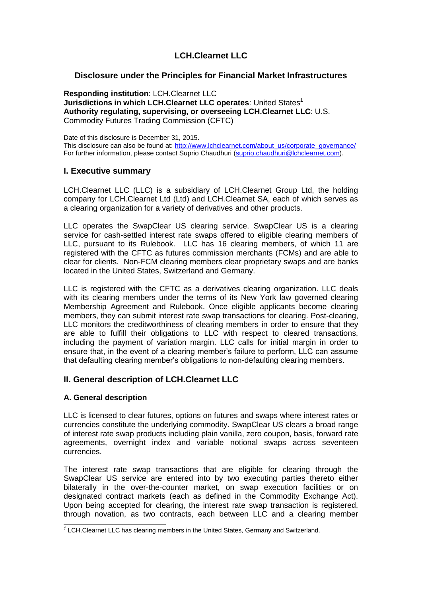# **LCH.Clearnet LLC**

# **Disclosure under the Principles for Financial Market Infrastructures**

**Responding institution**: LCH.Clearnet LLC **Jurisdictions in which LCH.Clearnet LLC operates: United States<sup>1</sup> Authority regulating, supervising, or overseeing LCH.Clearnet LLC**: U.S. Commodity Futures Trading Commission (CFTC)

Date of this disclosure is December 31, 2015. This disclosure can also be found at: [http://www.lchclearnet.com/about\\_us/corporate\\_governance/](http://www.lchclearnet.com/about_us/corporate_governance/) For further information, please contact Suprio Chaudhuri [\(suprio.chaudhuri@lchclearnet.com\)](mailto:suprio.chaudhuri@lchclearnet.com).

# **I. Executive summary**

LCH.Clearnet LLC (LLC) is a subsidiary of LCH.Clearnet Group Ltd, the holding company for LCH.Clearnet Ltd (Ltd) and LCH.Clearnet SA, each of which serves as a clearing organization for a variety of derivatives and other products.

LLC operates the SwapClear US clearing service. SwapClear US is a clearing service for cash-settled interest rate swaps offered to eligible clearing members of LLC, pursuant to its Rulebook. LLC has 16 clearing members, of which 11 are registered with the CFTC as futures commission merchants (FCMs) and are able to clear for clients. Non-FCM clearing members clear proprietary swaps and are banks located in the United States, Switzerland and Germany.

LLC is registered with the CFTC as a derivatives clearing organization. LLC deals with its clearing members under the terms of its New York law governed clearing Membership Agreement and Rulebook. Once eligible applicants become clearing members, they can submit interest rate swap transactions for clearing. Post-clearing, LLC monitors the creditworthiness of clearing members in order to ensure that they are able to fulfill their obligations to LLC with respect to cleared transactions, including the payment of variation margin. LLC calls for initial margin in order to ensure that, in the event of a clearing member's failure to perform, LLC can assume that defaulting clearing member's obligations to non-defaulting clearing members.

# **II. General description of LCH.Clearnet LLC**

# **A. General description**

LLC is licensed to clear futures, options on futures and swaps where interest rates or currencies constitute the underlying commodity. SwapClear US clears a broad range of interest rate swap products including plain vanilla, zero coupon, basis, forward rate agreements, overnight index and variable notional swaps across seventeen currencies.

The interest rate swap transactions that are eligible for clearing through the SwapClear US service are entered into by two executing parties thereto either bilaterally in the over-the-counter market, on swap execution facilities or on designated contract markets (each as defined in the Commodity Exchange Act). Upon being accepted for clearing, the interest rate swap transaction is registered, through novation, as two contracts, each between LLC and a clearing member

 *1* LCH.Clearnet LLC has clearing members in the United States, Germany and Switzerland.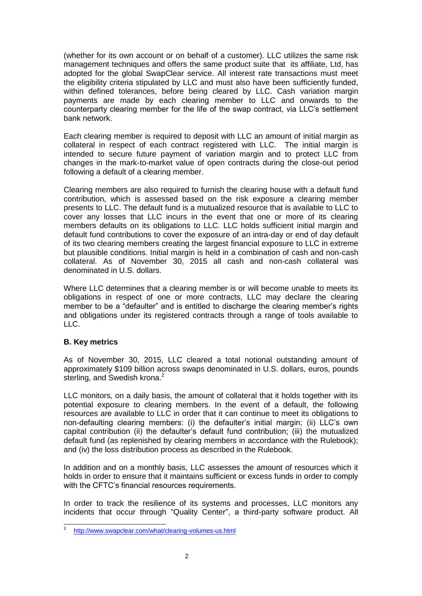(whether for its own account or on behalf of a customer). LLC utilizes the same risk management techniques and offers the same product suite that its affiliate, Ltd, has adopted for the global SwapClear service. All interest rate transactions must meet the eligibility criteria stipulated by LLC and must also have been sufficiently funded, within defined tolerances, before being cleared by LLC. Cash variation margin payments are made by each clearing member to LLC and onwards to the counterparty clearing member for the life of the swap contract, via LLC's settlement bank network.

Each clearing member is required to deposit with LLC an amount of initial margin as collateral in respect of each contract registered with LLC. The initial margin is intended to secure future payment of variation margin and to protect LLC from changes in the mark-to-market value of open contracts during the close-out period following a default of a clearing member.

Clearing members are also required to furnish the clearing house with a default fund contribution, which is assessed based on the risk exposure a clearing member presents to LLC. The default fund is a mutualized resource that is available to LLC to cover any losses that LLC incurs in the event that one or more of its clearing members defaults on its obligations to LLC. LLC holds sufficient initial margin and default fund contributions to cover the exposure of an intra-day or end of day default of its two clearing members creating the largest financial exposure to LLC in extreme but plausible conditions. Initial margin is held in a combination of cash and non-cash collateral. As of November 30, 2015 all cash and non-cash collateral was denominated in U.S. dollars.

Where LLC determines that a clearing member is or will become unable to meets its obligations in respect of one or more contracts, LLC may declare the clearing member to be a "defaulter" and is entitled to discharge the clearing member's rights and obligations under its registered contracts through a range of tools available to LLC.

# **B. Key metrics**

As of November 30, 2015, LLC cleared a total notional outstanding amount of approximately \$109 billion across swaps denominated in U.S. dollars, euros, pounds sterling, and Swedish krona.<sup>2</sup>

LLC monitors, on a daily basis, the amount of collateral that it holds together with its potential exposure to clearing members. In the event of a default, the following resources are available to LLC in order that it can continue to meet its obligations to non-defaulting clearing members: (i) the defaulter's initial margin; (ii) LLC's own capital contribution (ii) the defaulter's default fund contribution; (iii) the mutualized default fund (as replenished by clearing members in accordance with the Rulebook); and (iv) the loss distribution process as described in the Rulebook.

In addition and on a monthly basis, LLC assesses the amount of resources which it holds in order to ensure that it maintains sufficient or excess funds in order to comply with the CFTC's financial resources requirements.

In order to track the resilience of its systems and processes, LLC monitors any incidents that occur through "Quality Center", a third-party software product. All

 $\frac{1}{2}$ <http://www.swapclear.com/what/clearing-volumes-us.html>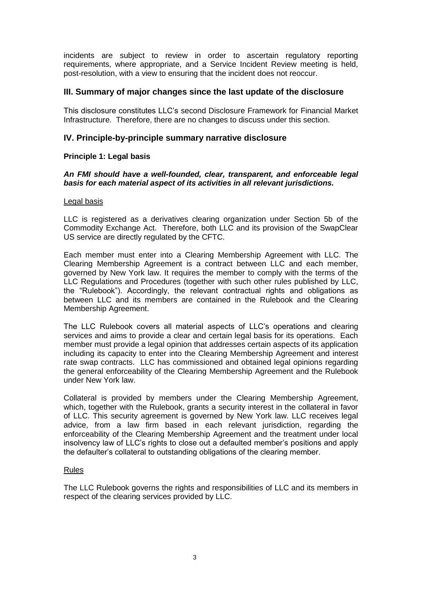incidents are subject to review in order to ascertain regulatory reporting requirements, where appropriate, and a Service Incident Review meeting is held, post-resolution, with a view to ensuring that the incident does not reoccur.

# **III. Summary of major changes since the last update of the disclosure**

This disclosure constitutes LLC's second Disclosure Framework for Financial Market Infrastructure. Therefore, there are no changes to discuss under this section.

# **IV. Principle-by-principle summary narrative disclosure**

# **Principle 1: Legal basis**

### *An FMI should have a well-founded, clear, transparent, and enforceable legal basis for each material aspect of its activities in all relevant jurisdictions.*

### Legal basis

LLC is registered as a derivatives clearing organization under Section 5b of the Commodity Exchange Act. Therefore, both LLC and its provision of the SwapClear US service are directly regulated by the CFTC.

Each member must enter into a Clearing Membership Agreement with LLC. The Clearing Membership Agreement is a contract between LLC and each member, governed by New York law. It requires the member to comply with the terms of the LLC Regulations and Procedures (together with such other rules published by LLC, the "Rulebook"). Accordingly, the relevant contractual rights and obligations as between LLC and its members are contained in the Rulebook and the Clearing Membership Agreement.

The LLC Rulebook covers all material aspects of LLC's operations and clearing services and aims to provide a clear and certain legal basis for its operations. Each member must provide a legal opinion that addresses certain aspects of its application including its capacity to enter into the Clearing Membership Agreement and interest rate swap contracts. LLC has commissioned and obtained legal opinions regarding the general enforceability of the Clearing Membership Agreement and the Rulebook under New York law.

Collateral is provided by members under the Clearing Membership Agreement, which, together with the Rulebook, grants a security interest in the collateral in favor of LLC. This security agreement is governed by New York law. LLC receives legal advice, from a law firm based in each relevant jurisdiction, regarding the enforceability of the Clearing Membership Agreement and the treatment under local insolvency law of LLC's rights to close out a defaulted member's positions and apply the defaulter's collateral to outstanding obligations of the clearing member.

# Rules

The LLC Rulebook governs the rights and responsibilities of LLC and its members in respect of the clearing services provided by LLC.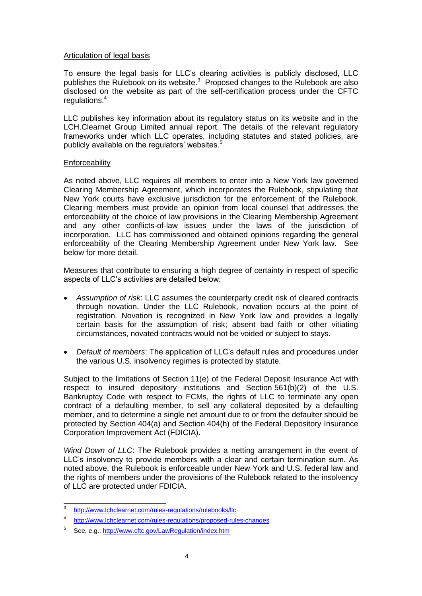### Articulation of legal basis

To ensure the legal basis for LLC's clearing activities is publicly disclosed, LLC publishes the Rulebook on its website.<sup>3</sup> Proposed changes to the Rulebook are also disclosed on the website as part of the self-certification process under the CFTC regulations.<sup>4</sup>

LLC publishes key information about its regulatory status on its website and in the LCH.Clearnet Group Limited annual report. The details of the relevant regulatory frameworks under which LLC operates, including statutes and stated policies, are publicly available on the regulators' websites.<sup>5</sup>

### **Enforceability**

As noted above, LLC requires all members to enter into a New York law governed Clearing Membership Agreement, which incorporates the Rulebook, stipulating that New York courts have exclusive jurisdiction for the enforcement of the Rulebook. Clearing members must provide an opinion from local counsel that addresses the enforceability of the choice of law provisions in the Clearing Membership Agreement and any other conflicts-of-law issues under the laws of the jurisdiction of incorporation. LLC has commissioned and obtained opinions regarding the general enforceability of the Clearing Membership Agreement under New York law. See below for more detail.

Measures that contribute to ensuring a high degree of certainty in respect of specific aspects of LLC's activities are detailed below:

- *Assumption of risk*: LLC assumes the counterparty credit risk of cleared contracts through novation. Under the LLC Rulebook, novation occurs at the point of registration. Novation is recognized in New York law and provides a legally certain basis for the assumption of risk; absent bad faith or other vitiating circumstances, novated contracts would not be voided or subject to stays.
- *Default of members*: The application of LLC's default rules and procedures under the various U.S. insolvency regimes is protected by statute.

Subject to the limitations of Section 11(e) of the Federal Deposit Insurance Act with respect to insured depository institutions and Section 561(b)(2) of the U.S. Bankruptcy Code with respect to FCMs, the rights of LLC to terminate any open contract of a defaulting member, to sell any collateral deposited by a defaulting member, and to determine a single net amount due to or from the defaulter should be protected by Section 404(a) and Section 404(h) of the Federal Depository Insurance Corporation Improvement Act (FDICIA).

*Wind Down of LLC*: The Rulebook provides a netting arrangement in the event of LLC's insolvency to provide members with a clear and certain termination sum. As noted above, the Rulebook is enforceable under New York and U.S. federal law and the rights of members under the provisions of the Rulebook related to the insolvency of LLC are protected under FDICIA.

<sup>-&</sup>lt;br>3 <http://www.lchclearnet.com/rules-regulations/rulebooks/llc>

<sup>4</sup> <http://www.lchclearnet.com/rules-regulations/proposed-rules-changes>

<sup>5</sup> See, e.g.,<http://www.cftc.gov/LawRegulation/index.htm>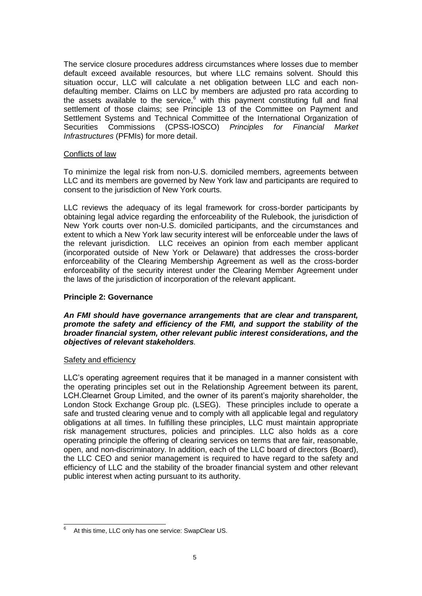The service closure procedures address circumstances where losses due to member default exceed available resources, but where LLC remains solvent. Should this situation occur, LLC will calculate a net obligation between LLC and each nondefaulting member. Claims on LLC by members are adjusted pro rata according to the assets available to the service, $6 \overline{6}$  with this payment constituting full and final settlement of those claims; see Principle 13 of the Committee on Payment and Settlement Systems and Technical Committee of the International Organization of Securities Commissions (CPSS-IOSCO) *Principles for Financial Market Infrastructures* (PFMIs) for more detail.

### Conflicts of law

To minimize the legal risk from non-U.S. domiciled members, agreements between LLC and its members are governed by New York law and participants are required to consent to the jurisdiction of New York courts.

LLC reviews the adequacy of its legal framework for cross-border participants by obtaining legal advice regarding the enforceability of the Rulebook, the jurisdiction of New York courts over non-U.S. domiciled participants, and the circumstances and extent to which a New York law security interest will be enforceable under the laws of the relevant jurisdiction. LLC receives an opinion from each member applicant (incorporated outside of New York or Delaware) that addresses the cross-border enforceability of the Clearing Membership Agreement as well as the cross-border enforceability of the security interest under the Clearing Member Agreement under the laws of the jurisdiction of incorporation of the relevant applicant.

## **Principle 2: Governance**

### *An FMI should have governance arrangements that are clear and transparent, promote the safety and efficiency of the FMI, and support the stability of the broader financial system, other relevant public interest considerations, and the objectives of relevant stakeholders.*

#### Safety and efficiency

LLC's operating agreement requires that it be managed in a manner consistent with the operating principles set out in the Relationship Agreement between its parent, LCH.Clearnet Group Limited, and the owner of its parent's majority shareholder, the London Stock Exchange Group plc. (LSEG). These principles include to operate a safe and trusted clearing venue and to comply with all applicable legal and regulatory obligations at all times. In fulfilling these principles, LLC must maintain appropriate risk management structures, policies and principles. LLC also holds as a core operating principle the offering of clearing services on terms that are fair, reasonable, open, and non-discriminatory. In addition, each of the LLC board of directors (Board), the LLC CEO and senior management is required to have regard to the safety and efficiency of LLC and the stability of the broader financial system and other relevant public interest when acting pursuant to its authority.

 6 At this time, LLC only has one service: SwapClear US.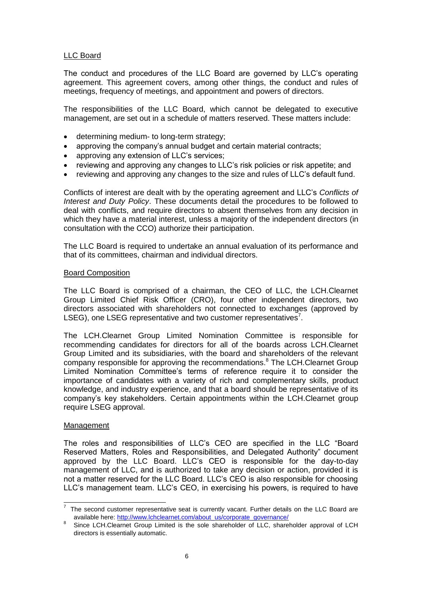# LLC Board

The conduct and procedures of the LLC Board are governed by LLC's operating agreement. This agreement covers, among other things, the conduct and rules of meetings, frequency of meetings, and appointment and powers of directors.

The responsibilities of the LLC Board, which cannot be delegated to executive management, are set out in a schedule of matters reserved. These matters include:

- determining medium- to long-term strategy;<br>• approving the company's annual budget and
- approving the company's annual budget and certain material contracts;
- approving any extension of LLC's services;
- reviewing and approving any changes to LLC's risk policies or risk appetite; and
- reviewing and approving any changes to the size and rules of LLC's default fund.

Conflicts of interest are dealt with by the operating agreement and LLC's *Conflicts of Interest and Duty Policy*. These documents detail the procedures to be followed to deal with conflicts, and require directors to absent themselves from any decision in which they have a material interest, unless a majority of the independent directors (in consultation with the CCO) authorize their participation.

The LLC Board is required to undertake an annual evaluation of its performance and that of its committees, chairman and individual directors.

#### Board Composition

The LLC Board is comprised of a chairman, the CEO of LLC, the LCH.Clearnet Group Limited Chief Risk Officer (CRO), four other independent directors, two directors associated with shareholders not connected to exchanges (approved by LSEG), one LSEG representative and two customer representatives<sup>7</sup>.

The LCH.Clearnet Group Limited Nomination Committee is responsible for recommending candidates for directors for all of the boards across LCH.Clearnet Group Limited and its subsidiaries, with the board and shareholders of the relevant company responsible for approving the recommendations.<sup>8</sup> The LCH.Clearnet Group Limited Nomination Committee's terms of reference require it to consider the importance of candidates with a variety of rich and complementary skills, product knowledge, and industry experience, and that a board should be representative of its company's key stakeholders. Certain appointments within the LCH.Clearnet group require LSEG approval.

#### Management

The roles and responsibilities of LLC's CEO are specified in the LLC "Board Reserved Matters, Roles and Responsibilities, and Delegated Authority" document approved by the LLC Board. LLC's CEO is responsible for the day-to-day management of LLC, and is authorized to take any decision or action, provided it is not a matter reserved for the LLC Board. LLC's CEO is also responsible for choosing LLC's management team. LLC's CEO, in exercising his powers, is required to have

The second customer representative seat is currently vacant. Further details on the LLC Board are available here: [http://www.lchclearnet.com/about\\_us/corporate\\_governance/](http://www.lchclearnet.com/about_us/corporate_governance/)

<sup>8</sup> Since LCH.Clearnet Group Limited is the sole shareholder of LLC, shareholder approval of LCH directors is essentially automatic.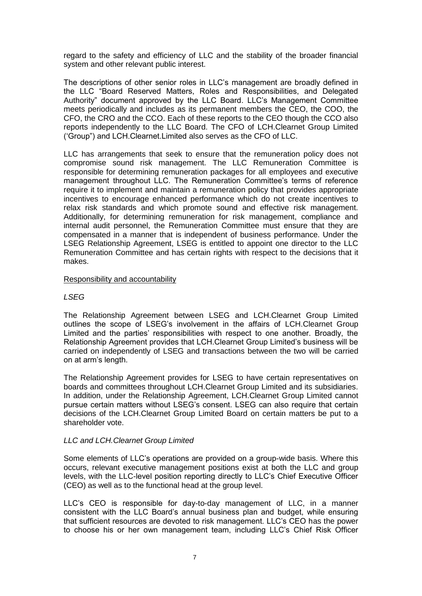regard to the safety and efficiency of LLC and the stability of the broader financial system and other relevant public interest.

The descriptions of other senior roles in LLC's management are broadly defined in the LLC "Board Reserved Matters, Roles and Responsibilities, and Delegated Authority" document approved by the LLC Board. LLC's Management Committee meets periodically and includes as its permanent members the CEO, the COO, the CFO, the CRO and the CCO. Each of these reports to the CEO though the CCO also reports independently to the LLC Board. The CFO of LCH.Clearnet Group Limited ('Group") and LCH.Clearnet.Limited also serves as the CFO of LLC.

LLC has arrangements that seek to ensure that the remuneration policy does not compromise sound risk management. The LLC Remuneration Committee is responsible for determining remuneration packages for all employees and executive management throughout LLC. The Remuneration Committee's terms of reference require it to implement and maintain a remuneration policy that provides appropriate incentives to encourage enhanced performance which do not create incentives to relax risk standards and which promote sound and effective risk management. Additionally, for determining remuneration for risk management, compliance and internal audit personnel, the Remuneration Committee must ensure that they are compensated in a manner that is independent of business performance. Under the LSEG Relationship Agreement, LSEG is entitled to appoint one director to the LLC Remuneration Committee and has certain rights with respect to the decisions that it makes.

#### Responsibility and accountability

### *LSEG*

The Relationship Agreement between LSEG and LCH.Clearnet Group Limited outlines the scope of LSEG's involvement in the affairs of LCH.Clearnet Group Limited and the parties' responsibilities with respect to one another. Broadly, the Relationship Agreement provides that LCH.Clearnet Group Limited's business will be carried on independently of LSEG and transactions between the two will be carried on at arm's length.

The Relationship Agreement provides for LSEG to have certain representatives on boards and committees throughout LCH.Clearnet Group Limited and its subsidiaries. In addition, under the Relationship Agreement, LCH.Clearnet Group Limited cannot pursue certain matters without LSEG's consent. LSEG can also require that certain decisions of the LCH.Clearnet Group Limited Board on certain matters be put to a shareholder vote.

# *LLC and LCH.Clearnet Group Limited*

Some elements of LLC's operations are provided on a group-wide basis. Where this occurs, relevant executive management positions exist at both the LLC and group levels, with the LLC-level position reporting directly to LLC's Chief Executive Officer (CEO) as well as to the functional head at the group level.

LLC's CEO is responsible for day-to-day management of LLC, in a manner consistent with the LLC Board's annual business plan and budget, while ensuring that sufficient resources are devoted to risk management. LLC's CEO has the power to choose his or her own management team, including LLC's Chief Risk Officer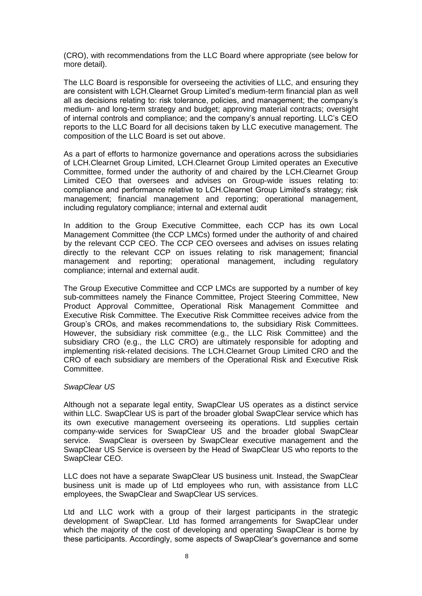(CRO), with recommendations from the LLC Board where appropriate (see below for more detail).

The LLC Board is responsible for overseeing the activities of LLC, and ensuring they are consistent with LCH.Clearnet Group Limited's medium-term financial plan as well all as decisions relating to: risk tolerance, policies, and management; the company's medium- and long-term strategy and budget; approving material contracts; oversight of internal controls and compliance; and the company's annual reporting. LLC's CEO reports to the LLC Board for all decisions taken by LLC executive management. The composition of the LLC Board is set out above.

As a part of efforts to harmonize governance and operations across the subsidiaries of LCH.Clearnet Group Limited, LCH.Clearnet Group Limited operates an Executive Committee, formed under the authority of and chaired by the LCH.Clearnet Group Limited CEO that oversees and advises on Group-wide issues relating to: compliance and performance relative to LCH.Clearnet Group Limited's strategy; risk management; financial management and reporting; operational management, including regulatory compliance; internal and external audit

In addition to the Group Executive Committee, each CCP has its own Local Management Committee (the CCP LMCs) formed under the authority of and chaired by the relevant CCP CEO. The CCP CEO oversees and advises on issues relating directly to the relevant CCP on issues relating to risk management; financial management and reporting; operational management, including regulatory compliance; internal and external audit.

The Group Executive Committee and CCP LMCs are supported by a number of key sub-committees namely the Finance Committee, Project Steering Committee, New Product Approval Committee, Operational Risk Management Committee and Executive Risk Committee. The Executive Risk Committee receives advice from the Group's CROs, and makes recommendations to, the subsidiary Risk Committees. However, the subsidiary risk committee (e.g., the LLC Risk Committee) and the subsidiary CRO (e.g., the LLC CRO) are ultimately responsible for adopting and implementing risk-related decisions. The LCH.Clearnet Group Limited CRO and the CRO of each subsidiary are members of the Operational Risk and Executive Risk Committee.

# *SwapClear US*

Although not a separate legal entity, SwapClear US operates as a distinct service within LLC. SwapClear US is part of the broader global SwapClear service which has its own executive management overseeing its operations. Ltd supplies certain company-wide services for SwapClear US and the broader global SwapClear service. SwapClear is overseen by SwapClear executive management and the SwapClear US Service is overseen by the Head of SwapClear US who reports to the SwapClear CEO.

LLC does not have a separate SwapClear US business unit. Instead, the SwapClear business unit is made up of Ltd employees who run, with assistance from LLC employees, the SwapClear and SwapClear US services.

Ltd and LLC work with a group of their largest participants in the strategic development of SwapClear. Ltd has formed arrangements for SwapClear under which the majority of the cost of developing and operating SwapClear is borne by these participants. Accordingly, some aspects of SwapClear's governance and some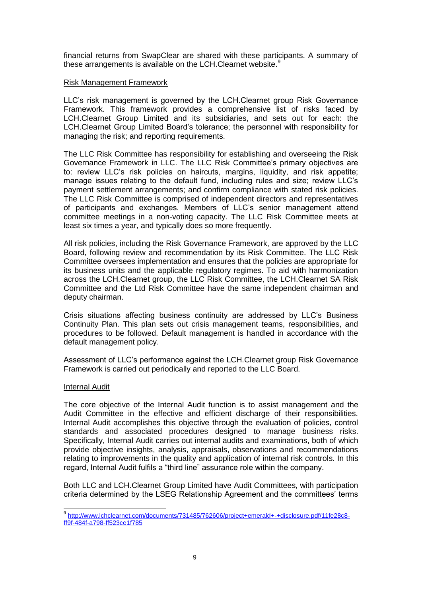financial returns from SwapClear are shared with these participants. A summary of these arrangements is available on the LCH. Clearnet website.<sup>9</sup>

#### Risk Management Framework

LLC's risk management is governed by the LCH.Clearnet group Risk Governance Framework. This framework provides a comprehensive list of risks faced by LCH.Clearnet Group Limited and its subsidiaries, and sets out for each: the LCH.Clearnet Group Limited Board's tolerance; the personnel with responsibility for managing the risk; and reporting requirements.

The LLC Risk Committee has responsibility for establishing and overseeing the Risk Governance Framework in LLC. The LLC Risk Committee's primary objectives are to: review LLC's risk policies on haircuts, margins, liquidity, and risk appetite; manage issues relating to the default fund, including rules and size; review LLC's payment settlement arrangements; and confirm compliance with stated risk policies. The LLC Risk Committee is comprised of independent directors and representatives of participants and exchanges. Members of LLC's senior management attend committee meetings in a non-voting capacity. The LLC Risk Committee meets at least six times a year, and typically does so more frequently.

All risk policies, including the Risk Governance Framework, are approved by the LLC Board, following review and recommendation by its Risk Committee. The LLC Risk Committee oversees implementation and ensures that the policies are appropriate for its business units and the applicable regulatory regimes. To aid with harmonization across the LCH.Clearnet group, the LLC Risk Committee, the LCH.Clearnet SA Risk Committee and the Ltd Risk Committee have the same independent chairman and deputy chairman.

Crisis situations affecting business continuity are addressed by LLC's Business Continuity Plan. This plan sets out crisis management teams, responsibilities, and procedures to be followed. Default management is handled in accordance with the default management policy.

Assessment of LLC's performance against the LCH.Clearnet group Risk Governance Framework is carried out periodically and reported to the LLC Board.

#### Internal Audit

The core objective of the Internal Audit function is to assist management and the Audit Committee in the effective and efficient discharge of their responsibilities. Internal Audit accomplishes this objective through the evaluation of policies, control standards and associated procedures designed to manage business risks. Specifically, Internal Audit carries out internal audits and examinations, both of which provide objective insights, analysis, appraisals, observations and recommendations relating to improvements in the quality and application of internal risk controls. In this regard, Internal Audit fulfils a "third line" assurance role within the company.

Both LLC and LCH.Clearnet Group Limited have Audit Committees, with participation criteria determined by the LSEG Relationship Agreement and the committees' terms

 9 [http://www.lchclearnet.com/documents/731485/762606/project+emerald+-+disclosure.pdf/11fe28c8](http://www.lchclearnet.com/documents/731485/762606/project+emerald+-+disclosure.pdf/11fe28c8-ff9f-484f-a798-ff523ce1f785) [ff9f-484f-a798-ff523ce1f785](http://www.lchclearnet.com/documents/731485/762606/project+emerald+-+disclosure.pdf/11fe28c8-ff9f-484f-a798-ff523ce1f785)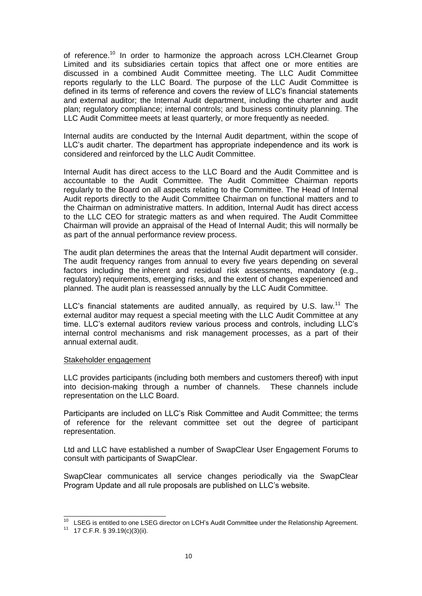of reference.<sup>10</sup> In order to harmonize the approach across LCH.Clearnet Group Limited and its subsidiaries certain topics that affect one or more entities are discussed in a combined Audit Committee meeting. The LLC Audit Committee reports regularly to the LLC Board. The purpose of the LLC Audit Committee is defined in its terms of reference and covers the review of LLC's financial statements and external auditor; the Internal Audit department, including the charter and audit plan; regulatory compliance; internal controls; and business continuity planning. The LLC Audit Committee meets at least quarterly, or more frequently as needed.

Internal audits are conducted by the Internal Audit department, within the scope of LLC's audit charter. The department has appropriate independence and its work is considered and reinforced by the LLC Audit Committee.

Internal Audit has direct access to the LLC Board and the Audit Committee and is accountable to the Audit Committee. The Audit Committee Chairman reports regularly to the Board on all aspects relating to the Committee. The Head of Internal Audit reports directly to the Audit Committee Chairman on functional matters and to the Chairman on administrative matters. In addition, Internal Audit has direct access to the LLC CEO for strategic matters as and when required. The Audit Committee Chairman will provide an appraisal of the Head of Internal Audit; this will normally be as part of the annual performance review process.

The audit plan determines the areas that the Internal Audit department will consider. The audit frequency ranges from annual to every five years depending on several factors including the inherent and residual risk assessments, mandatory (e.g., regulatory) requirements, emerging risks, and the extent of changes experienced and planned. The audit plan is reassessed annually by the LLC Audit Committee.

LLC's financial statements are audited annually, as required by U.S. law.<sup>11</sup> The external auditor may request a special meeting with the LLC Audit Committee at any time. LLC's external auditors review various process and controls, including LLC's internal control mechanisms and risk management processes, as a part of their annual external audit.

#### Stakeholder engagement

LLC provides participants (including both members and customers thereof) with input into decision-making through a number of channels. These channels include representation on the LLC Board.

Participants are included on LLC's Risk Committee and Audit Committee; the terms of reference for the relevant committee set out the degree of participant representation.

Ltd and LLC have established a number of SwapClear User Engagement Forums to consult with participants of SwapClear.

SwapClear communicates all service changes periodically via the SwapClear Program Update and all rule proposals are published on LLC's website.

 $\overline{a}$ 

 $10$  LSEG is entitled to one LSEG director on LCH's Audit Committee under the Relationship Agreement.

 $11$  17 C.F.R. § 39.19(c)(3)(ii).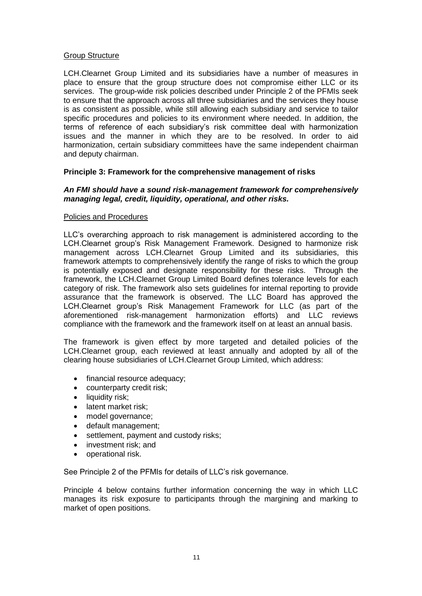### Group Structure

LCH.Clearnet Group Limited and its subsidiaries have a number of measures in place to ensure that the group structure does not compromise either LLC or its services. The group-wide risk policies described under Principle 2 of the PFMIs seek to ensure that the approach across all three subsidiaries and the services they house is as consistent as possible, while still allowing each subsidiary and service to tailor specific procedures and policies to its environment where needed. In addition, the terms of reference of each subsidiary's risk committee deal with harmonization issues and the manner in which they are to be resolved. In order to aid harmonization, certain subsidiary committees have the same independent chairman and deputy chairman.

# **Principle 3: Framework for the comprehensive management of risks**

## *An FMI should have a sound risk-management framework for comprehensively managing legal, credit, liquidity, operational, and other risks.*

#### Policies and Procedures

LLC's overarching approach to risk management is administered according to the LCH.Clearnet group's Risk Management Framework. Designed to harmonize risk management across LCH.Clearnet Group Limited and its subsidiaries, this framework attempts to comprehensively identify the range of risks to which the group is potentially exposed and designate responsibility for these risks. Through the framework, the LCH.Clearnet Group Limited Board defines tolerance levels for each category of risk. The framework also sets guidelines for internal reporting to provide assurance that the framework is observed. The LLC Board has approved the LCH.Clearnet group's Risk Management Framework for LLC (as part of the aforementioned risk-management harmonization efforts) and LLC reviews compliance with the framework and the framework itself on at least an annual basis.

The framework is given effect by more targeted and detailed policies of the LCH.Clearnet group, each reviewed at least annually and adopted by all of the clearing house subsidiaries of LCH.Clearnet Group Limited, which address:

- financial resource adequacy;
- counterparty credit risk;
- liquidity risk;
- latent market risk;
- model governance;
- default management;
- settlement, payment and custody risks;
- investment risk; and
- operational risk.

See Principle 2 of the PFMIs for details of LLC's risk governance.

Principle 4 below contains further information concerning the way in which LLC manages its risk exposure to participants through the margining and marking to market of open positions.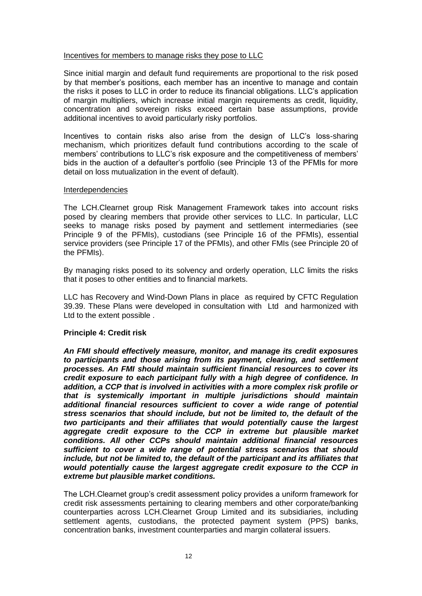### Incentives for members to manage risks they pose to LLC

Since initial margin and default fund requirements are proportional to the risk posed by that member's positions, each member has an incentive to manage and contain the risks it poses to LLC in order to reduce its financial obligations. LLC's application of margin multipliers, which increase initial margin requirements as credit, liquidity, concentration and sovereign risks exceed certain base assumptions, provide additional incentives to avoid particularly risky portfolios.

Incentives to contain risks also arise from the design of LLC's loss-sharing mechanism, which prioritizes default fund contributions according to the scale of members' contributions to LLC's risk exposure and the competitiveness of members' bids in the auction of a defaulter's portfolio (see Principle 13 of the PFMIs for more detail on loss mutualization in the event of default).

### Interdependencies

The LCH.Clearnet group Risk Management Framework takes into account risks posed by clearing members that provide other services to LLC. In particular, LLC seeks to manage risks posed by payment and settlement intermediaries (see Principle 9 of the PFMIs), custodians (see Principle 16 of the PFMIs), essential service providers (see Principle 17 of the PFMIs), and other FMIs (see Principle 20 of the PFMIs).

By managing risks posed to its solvency and orderly operation, LLC limits the risks that it poses to other entities and to financial markets.

LLC has Recovery and Wind-Down Plans in place as required by CFTC Regulation 39.39. These Plans were developed in consultation with Ltd and harmonized with Ltd to the extent possible .

# **Principle 4: Credit risk**

*An FMI should effectively measure, monitor, and manage its credit exposures to participants and those arising from its payment, clearing, and settlement processes. An FMI should maintain sufficient financial resources to cover its credit exposure to each participant fully with a high degree of confidence. In addition, a CCP that is involved in activities with a more complex risk profile or that is systemically important in multiple jurisdictions should maintain additional financial resources sufficient to cover a wide range of potential stress scenarios that should include, but not be limited to, the default of the two participants and their affiliates that would potentially cause the largest aggregate credit exposure to the CCP in extreme but plausible market conditions. All other CCPs should maintain additional financial resources sufficient to cover a wide range of potential stress scenarios that should include, but not be limited to, the default of the participant and its affiliates that would potentially cause the largest aggregate credit exposure to the CCP in extreme but plausible market conditions.* 

The LCH.Clearnet group's credit assessment policy provides a uniform framework for credit risk assessments pertaining to clearing members and other corporate/banking counterparties across LCH.Clearnet Group Limited and its subsidiaries, including settlement agents, custodians, the protected payment system (PPS) banks, concentration banks, investment counterparties and margin collateral issuers.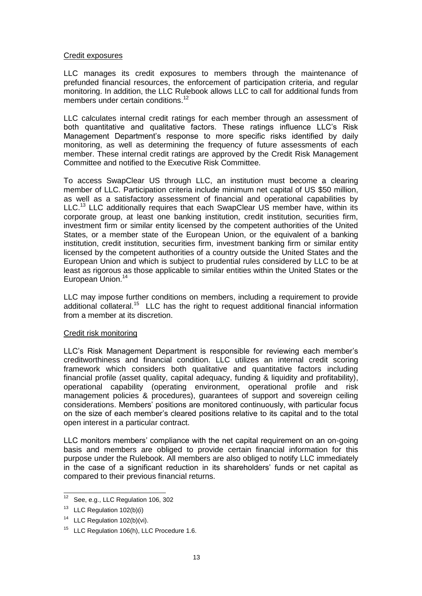#### Credit exposures

LLC manages its credit exposures to members through the maintenance of prefunded financial resources, the enforcement of participation criteria, and regular monitoring. In addition, the LLC Rulebook allows LLC to call for additional funds from members under certain conditions.<sup>12</sup>

LLC calculates internal credit ratings for each member through an assessment of both quantitative and qualitative factors. These ratings influence LLC's Risk Management Department's response to more specific risks identified by daily monitoring, as well as determining the frequency of future assessments of each member. These internal credit ratings are approved by the Credit Risk Management Committee and notified to the Executive Risk Committee.

To access SwapClear US through LLC, an institution must become a clearing member of LLC. Participation criteria include minimum net capital of US \$50 million, as well as a satisfactory assessment of financial and operational capabilities by LLC.<sup>13</sup> LLC additionally requires that each SwapClear US member have, within its corporate group, at least one banking institution, credit institution, securities firm, investment firm or similar entity licensed by the competent authorities of the United States, or a member state of the European Union, or the equivalent of a banking institution, credit institution, securities firm, investment banking firm or similar entity licensed by the competent authorities of a country outside the United States and the European Union and which is subject to prudential rules considered by LLC to be at least as rigorous as those applicable to similar entities within the United States or the European Union.<sup>14</sup>

LLC may impose further conditions on members, including a requirement to provide additional collateral.<sup>15</sup> LLC has the right to request additional financial information from a member at its discretion.

#### Credit risk monitoring

LLC's Risk Management Department is responsible for reviewing each member's creditworthiness and financial condition. LLC utilizes an internal credit scoring framework which considers both qualitative and quantitative factors including financial profile (asset quality, capital adequacy, funding & liquidity and profitability), operational capability (operating environment, operational profile and risk management policies & procedures), guarantees of support and sovereign ceiling considerations. Members' positions are monitored continuously, with particular focus on the size of each member's cleared positions relative to its capital and to the total open interest in a particular contract.

LLC monitors members' compliance with the net capital requirement on an on-going basis and members are obliged to provide certain financial information for this purpose under the Rulebook. All members are also obliged to notify LLC immediately in the case of a significant reduction in its shareholders' funds or net capital as compared to their previous financial returns.

 $12$ See, e.g., LLC Regulation 106, 302

<sup>&</sup>lt;sup>13</sup> LLC Regulation 102(b)(i)

<sup>&</sup>lt;sup>14</sup> LLC Regulation 102(b)(vi).

<sup>&</sup>lt;sup>15</sup> LLC Regulation 106(h), LLC Procedure 1.6.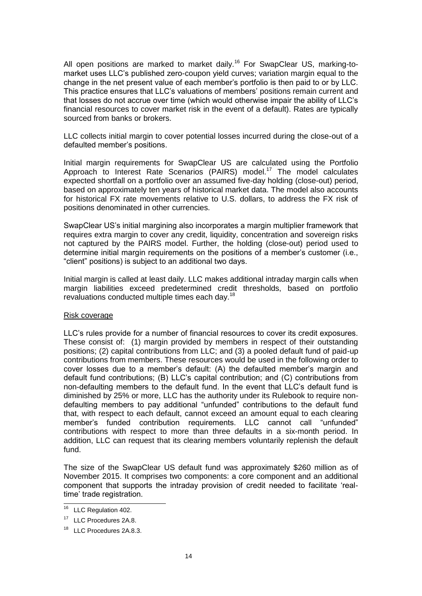All open positions are marked to market daily.<sup>16</sup> For SwapClear US, marking-tomarket uses LLC's published zero-coupon yield curves; variation margin equal to the change in the net present value of each member's portfolio is then paid to or by LLC. This practice ensures that LLC's valuations of members' positions remain current and that losses do not accrue over time (which would otherwise impair the ability of LLC's financial resources to cover market risk in the event of a default). Rates are typically sourced from banks or brokers.

LLC collects initial margin to cover potential losses incurred during the close-out of a defaulted member's positions.

Initial margin requirements for SwapClear US are calculated using the Portfolio Approach to Interest Rate Scenarios (PAIRS) model.<sup>17</sup> The model calculates expected shortfall on a portfolio over an assumed five-day holding (close-out) period, based on approximately ten years of historical market data. The model also accounts for historical FX rate movements relative to U.S. dollars, to address the FX risk of positions denominated in other currencies.

SwapClear US's initial margining also incorporates a margin multiplier framework that requires extra margin to cover any credit, liquidity, concentration and sovereign risks not captured by the PAIRS model. Further, the holding (close-out) period used to determine initial margin requirements on the positions of a member's customer (i.e., "client" positions) is subject to an additional two days.

Initial margin is called at least daily. LLC makes additional intraday margin calls when margin liabilities exceed predetermined credit thresholds, based on portfolio revaluations conducted multiple times each day.<sup>18</sup>

#### Risk coverage

LLC's rules provide for a number of financial resources to cover its credit exposures. These consist of: (1) margin provided by members in respect of their outstanding positions; (2) capital contributions from LLC; and (3) a pooled default fund of paid-up contributions from members. These resources would be used in the following order to cover losses due to a member's default: (A) the defaulted member's margin and default fund contributions; (B) LLC's capital contribution; and (C) contributions from non-defaulting members to the default fund. In the event that LLC's default fund is diminished by 25% or more, LLC has the authority under its Rulebook to require nondefaulting members to pay additional "unfunded" contributions to the default fund that, with respect to each default, cannot exceed an amount equal to each clearing member's funded contribution requirements. LLC cannot call "unfunded" contributions with respect to more than three defaults in a six-month period. In addition, LLC can request that its clearing members voluntarily replenish the default fund.

The size of the SwapClear US default fund was approximately \$260 million as of November 2015. It comprises two components: a core component and an additional component that supports the intraday provision of credit needed to facilitate 'realtime' trade registration.

 $\overline{a}$ 

<sup>&</sup>lt;sup>16</sup> LLC Regulation 402.

<sup>&</sup>lt;sup>17</sup> LLC Procedures 2A.8.

<sup>&</sup>lt;sup>18</sup> LLC Procedures 2A.8.3.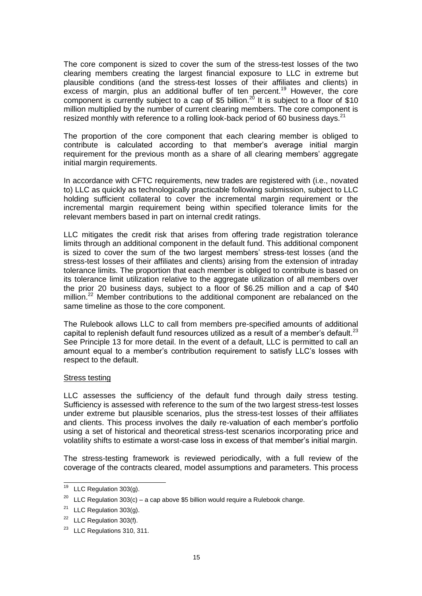The core component is sized to cover the sum of the stress-test losses of the two clearing members creating the largest financial exposure to LLC in extreme but plausible conditions (and the stress-test losses of their affiliates and clients) in excess of margin, plus an additional buffer of ten percent.<sup>19</sup> However, the core component is currently subject to a cap of \$5 billion.<sup>20</sup> It is subject to a floor of \$10 million multiplied by the number of current clearing members. The core component is resized monthly with reference to a rolling look-back period of 60 business days.<sup>21</sup>

The proportion of the core component that each clearing member is obliged to contribute is calculated according to that member's average initial margin requirement for the previous month as a share of all clearing members' aggregate initial margin requirements.

In accordance with CFTC requirements, new trades are registered with (i.e., novated to) LLC as quickly as technologically practicable following submission, subject to LLC holding sufficient collateral to cover the incremental margin requirement or the incremental margin requirement being within specified tolerance limits for the relevant members based in part on internal credit ratings.

LLC mitigates the credit risk that arises from offering trade registration tolerance limits through an additional component in the default fund. This additional component is sized to cover the sum of the two largest members' stress-test losses (and the stress-test losses of their affiliates and clients) arising from the extension of intraday tolerance limits. The proportion that each member is obliged to contribute is based on its tolerance limit utilization relative to the aggregate utilization of all members over the prior 20 business days, subject to a floor of \$6.25 million and a cap of \$40 million.<sup>22</sup> Member contributions to the additional component are rebalanced on the same timeline as those to the core component.

The Rulebook allows LLC to call from members pre-specified amounts of additional capital to replenish default fund resources utilized as a result of a member's default. $^{23}$ See Principle 13 for more detail. In the event of a default, LLC is permitted to call an amount equal to a member's contribution requirement to satisfy LLC's losses with respect to the default.

#### Stress testing

LLC assesses the sufficiency of the default fund through daily stress testing. Sufficiency is assessed with reference to the sum of the two largest stress-test losses under extreme but plausible scenarios, plus the stress-test losses of their affiliates and clients. This process involves the daily re-valuation of each member's portfolio using a set of historical and theoretical stress-test scenarios incorporating price and volatility shifts to estimate a worst-case loss in excess of that member's initial margin.

The stress-testing framework is reviewed periodically, with a full review of the coverage of the contracts cleared, model assumptions and parameters. This process

j

 $19$  LLC Regulation 303(g).

<sup>&</sup>lt;sup>20</sup> LLC Regulation 303(c) – a cap above \$5 billion would require a Rulebook change.

<sup>&</sup>lt;sup>21</sup> LLC Regulation  $303(g)$ .

 $22$  LLC Regulation 303(f).

<sup>23</sup> LLC Regulations 310, 311.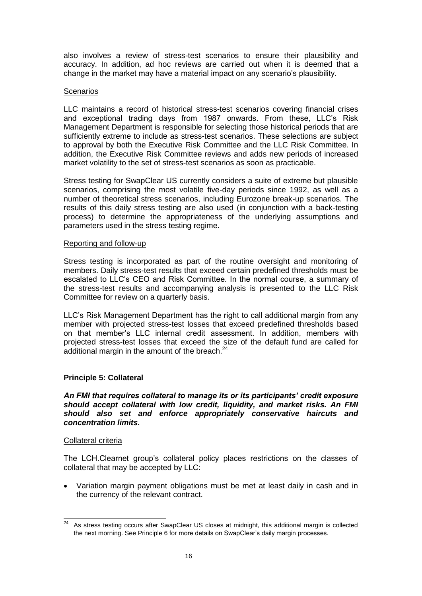also involves a review of stress-test scenarios to ensure their plausibility and accuracy. In addition, ad hoc reviews are carried out when it is deemed that a change in the market may have a material impact on any scenario's plausibility.

### **Scenarios**

LLC maintains a record of historical stress-test scenarios covering financial crises and exceptional trading days from 1987 onwards. From these, LLC's Risk Management Department is responsible for selecting those historical periods that are sufficiently extreme to include as stress-test scenarios. These selections are subject to approval by both the Executive Risk Committee and the LLC Risk Committee. In addition, the Executive Risk Committee reviews and adds new periods of increased market volatility to the set of stress-test scenarios as soon as practicable.

Stress testing for SwapClear US currently considers a suite of extreme but plausible scenarios, comprising the most volatile five-day periods since 1992, as well as a number of theoretical stress scenarios, including Eurozone break-up scenarios. The results of this daily stress testing are also used (in conjunction with a back-testing process) to determine the appropriateness of the underlying assumptions and parameters used in the stress testing regime.

### Reporting and follow-up

Stress testing is incorporated as part of the routine oversight and monitoring of members. Daily stress-test results that exceed certain predefined thresholds must be escalated to LLC's CEO and Risk Committee. In the normal course, a summary of the stress-test results and accompanying analysis is presented to the LLC Risk Committee for review on a quarterly basis.

LLC's Risk Management Department has the right to call additional margin from any member with projected stress-test losses that exceed predefined thresholds based on that member's LLC internal credit assessment. In addition, members with projected stress-test losses that exceed the size of the default fund are called for additional margin in the amount of the breach. $24$ 

# **Principle 5: Collateral**

*An FMI that requires collateral to manage its or its participants' credit exposure should accept collateral with low credit, liquidity, and market risks. An FMI should also set and enforce appropriately conservative haircuts and concentration limits.*

#### Collateral criteria

The LCH.Clearnet group's collateral policy places restrictions on the classes of collateral that may be accepted by LLC:

 Variation margin payment obligations must be met at least daily in cash and in the currency of the relevant contract.

 $24$ <sup>24</sup> As stress testing occurs after SwapClear US closes at midnight, this additional margin is collected the next morning. See Principle 6 for more details on SwapClear's daily margin processes.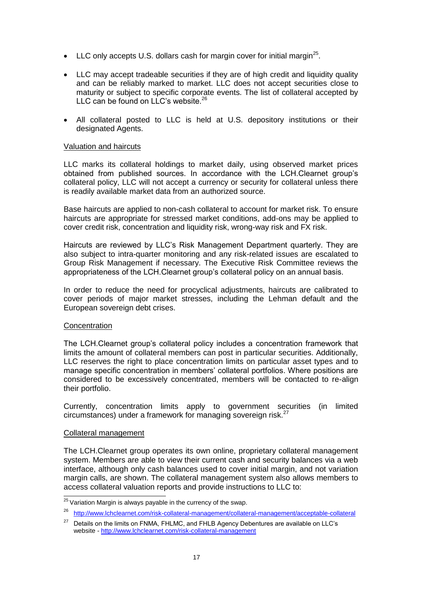- LLC only accepts U.S. dollars cash for margin cover for initial margin<sup>25</sup>.
- LLC may accept tradeable securities if they are of high credit and liquidity quality and can be reliably marked to market. LLC does not accept securities close to maturity or subject to specific corporate events. The list of collateral accepted by LLC can be found on LLC's website. $26$
- All collateral posted to LLC is held at U.S. depository institutions or their designated Agents.

### Valuation and haircuts

LLC marks its collateral holdings to market daily, using observed market prices obtained from published sources. In accordance with the LCH.Clearnet group's collateral policy, LLC will not accept a currency or security for collateral unless there is readily available market data from an authorized source.

Base haircuts are applied to non-cash collateral to account for market risk. To ensure haircuts are appropriate for stressed market conditions, add-ons may be applied to cover credit risk, concentration and liquidity risk, wrong-way risk and FX risk.

Haircuts are reviewed by LLC's Risk Management Department quarterly. They are also subject to intra-quarter monitoring and any risk-related issues are escalated to Group Risk Management if necessary. The Executive Risk Committee reviews the appropriateness of the LCH.Clearnet group's collateral policy on an annual basis.

In order to reduce the need for procyclical adjustments, haircuts are calibrated to cover periods of major market stresses, including the Lehman default and the European sovereign debt crises.

#### **Concentration**

The LCH.Clearnet group's collateral policy includes a concentration framework that limits the amount of collateral members can post in particular securities. Additionally, LLC reserves the right to place concentration limits on particular asset types and to manage specific concentration in members' collateral portfolios. Where positions are considered to be excessively concentrated, members will be contacted to re-align their portfolio.

Currently, concentration limits apply to government securities (in limited circumstances) under a framework for managing sovereign risk.<sup>27</sup>

#### Collateral management

The LCH.Clearnet group operates its own online, proprietary collateral management system. Members are able to view their current cash and security balances via a web interface, although only cash balances used to cover initial margin, and not variation margin calls, are shown. The collateral management system also allows members to access collateral valuation reports and provide instructions to LLC to:

 $\overline{a}$  $^{25}$  Variation Margin is always payable in the currency of the swap.

<sup>26</sup> <http://www.lchclearnet.com/risk-collateral-management/collateral-management/acceptable-collateral>

 $27$  Details on the limits on FNMA, FHLMC, and FHLB Agency Debentures are available on LLC's website *-* <http://www.lchclearnet.com/risk-collateral-management>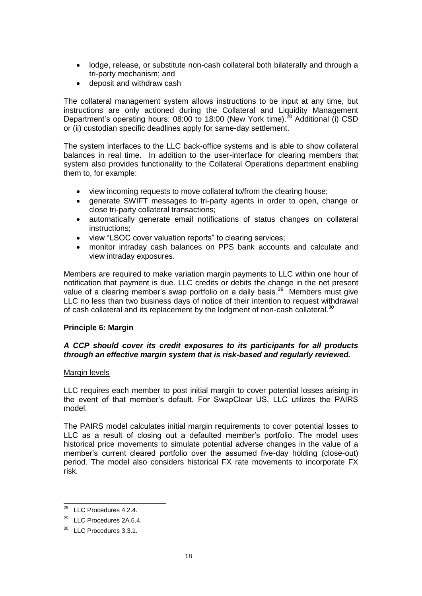- lodge, release, or substitute non-cash collateral both bilaterally and through a tri-party mechanism; and
- deposit and withdraw cash

The collateral management system allows instructions to be input at any time, but instructions are only actioned during the Collateral and Liquidity Management Department's operating hours: 08:00 to 18:00 (New York time).<sup>28</sup> Additional (i) CSD or (ii) custodian specific deadlines apply for same-day settlement.

The system interfaces to the LLC back-office systems and is able to show collateral balances in real time. In addition to the user-interface for clearing members that system also provides functionality to the Collateral Operations department enabling them to, for example:

- view incoming requests to move collateral to/from the clearing house;
- generate SWIFT messages to tri-party agents in order to open, change or close tri-party collateral transactions;
- automatically generate email notifications of status changes on collateral instructions;
- view "LSOC cover valuation reports" to clearing services;
- monitor intraday cash balances on PPS bank accounts and calculate and view intraday exposures.

Members are required to make variation margin payments to LLC within one hour of notification that payment is due. LLC credits or debits the change in the net present value of a clearing member's swap portfolio on a daily basis.<sup>29</sup> Members must give LLC no less than two business days of notice of their intention to request withdrawal of cash collateral and its replacement by the lodgment of non-cash collateral.<sup>30</sup>

# **Principle 6: Margin**

# *A CCP should cover its credit exposures to its participants for all products through an effective margin system that is risk-based and regularly reviewed.*

#### Margin levels

LLC requires each member to post initial margin to cover potential losses arising in the event of that member's default. For SwapClear US, LLC utilizes the PAIRS model.

The PAIRS model calculates initial margin requirements to cover potential losses to LLC as a result of closing out a defaulted member's portfolio. The model uses historical price movements to simulate potential adverse changes in the value of a member's current cleared portfolio over the assumed five-day holding (close-out) period. The model also considers historical FX rate movements to incorporate FX risk.

 $\overline{a}$ 

 $28$  LLC Procedures 4.2.4.

<sup>29</sup> LLC Procedures 2A.6.4.

<sup>&</sup>lt;sup>30</sup> LLC Procedures 3.3.1.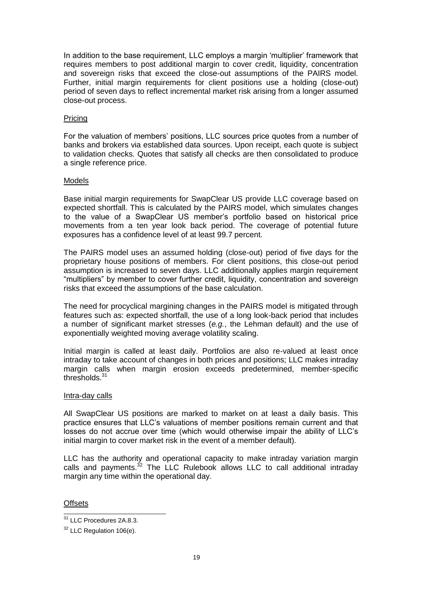In addition to the base requirement, LLC employs a margin 'multiplier' framework that requires members to post additional margin to cover credit, liquidity, concentration and sovereign risks that exceed the close-out assumptions of the PAIRS model. Further, initial margin requirements for client positions use a holding (close-out) period of seven days to reflect incremental market risk arising from a longer assumed close-out process.

## Pricing

For the valuation of members' positions, LLC sources price quotes from a number of banks and brokers via established data sources. Upon receipt, each quote is subject to validation checks. Quotes that satisfy all checks are then consolidated to produce a single reference price.

### Models

Base initial margin requirements for SwapClear US provide LLC coverage based on expected shortfall. This is calculated by the PAIRS model, which simulates changes to the value of a SwapClear US member's portfolio based on historical price movements from a ten year look back period. The coverage of potential future exposures has a confidence level of at least 99.7 percent.

The PAIRS model uses an assumed holding (close-out) period of five days for the proprietary house positions of members. For client positions, this close-out period assumption is increased to seven days. LLC additionally applies margin requirement "multipliers" by member to cover further credit, liquidity, concentration and sovereign risks that exceed the assumptions of the base calculation.

The need for procyclical margining changes in the PAIRS model is mitigated through features such as: expected shortfall, the use of a long look-back period that includes a number of significant market stresses (*e.g.*, the Lehman default) and the use of exponentially weighted moving average volatility scaling.

Initial margin is called at least daily. Portfolios are also re-valued at least once intraday to take account of changes in both prices and positions; LLC makes intraday margin calls when margin erosion exceeds predetermined, member-specific thresholds.<sup>31</sup>

#### Intra-day calls

All SwapClear US positions are marked to market on at least a daily basis. This practice ensures that LLC's valuations of member positions remain current and that losses do not accrue over time (which would otherwise impair the ability of LLC's initial margin to cover market risk in the event of a member default).

LLC has the authority and operational capacity to make intraday variation margin calls and payments.<sup>32</sup> The LLC Rulebook allows LLC to call additional intraday margin any time within the operational day.

**Offsets** 

 $\overline{a}$ 

<sup>&</sup>lt;sup>31</sup> LLC Procedures 2A.8.3.

 $32$  LLC Regulation 106(e).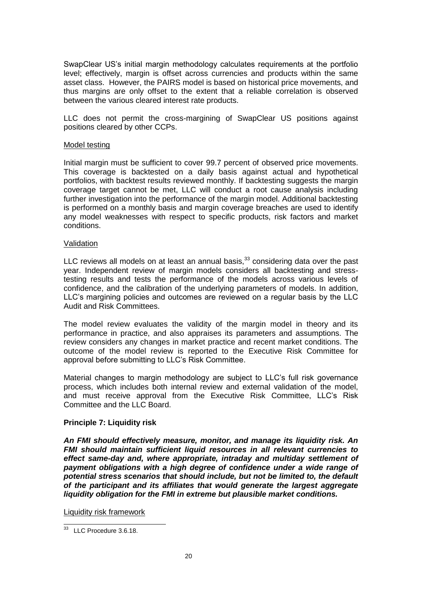SwapClear US's initial margin methodology calculates requirements at the portfolio level; effectively, margin is offset across currencies and products within the same asset class. However, the PAIRS model is based on historical price movements, and thus margins are only offset to the extent that a reliable correlation is observed between the various cleared interest rate products.

LLC does not permit the cross-margining of SwapClear US positions against positions cleared by other CCPs.

#### Model testing

Initial margin must be sufficient to cover 99.7 percent of observed price movements. This coverage is backtested on a daily basis against actual and hypothetical portfolios, with backtest results reviewed monthly. If backtesting suggests the margin coverage target cannot be met, LLC will conduct a root cause analysis including further investigation into the performance of the margin model. Additional backtesting is performed on a monthly basis and margin coverage breaches are used to identify any model weaknesses with respect to specific products, risk factors and market conditions.

#### Validation

LLC reviews all models on at least an annual basis, $33$  considering data over the past year. Independent review of margin models considers all backtesting and stresstesting results and tests the performance of the models across various levels of confidence, and the calibration of the underlying parameters of models. In addition, LLC's margining policies and outcomes are reviewed on a regular basis by the LLC Audit and Risk Committees.

The model review evaluates the validity of the margin model in theory and its performance in practice, and also appraises its parameters and assumptions. The review considers any changes in market practice and recent market conditions. The outcome of the model review is reported to the Executive Risk Committee for approval before submitting to LLC's Risk Committee.

Material changes to margin methodology are subject to LLC's full risk governance process, which includes both internal review and external validation of the model, and must receive approval from the Executive Risk Committee, LLC's Risk Committee and the LLC Board.

# **Principle 7: Liquidity risk**

*An FMI should effectively measure, monitor, and manage its liquidity risk. An FMI should maintain sufficient liquid resources in all relevant currencies to effect same-day and, where appropriate, intraday and multiday settlement of payment obligations with a high degree of confidence under a wide range of potential stress scenarios that should include, but not be limited to, the default of the participant and its affiliates that would generate the largest aggregate liquidity obligation for the FMI in extreme but plausible market conditions.* 

Liquidity risk framework

l  $33$  LLC Procedure 3.6.18.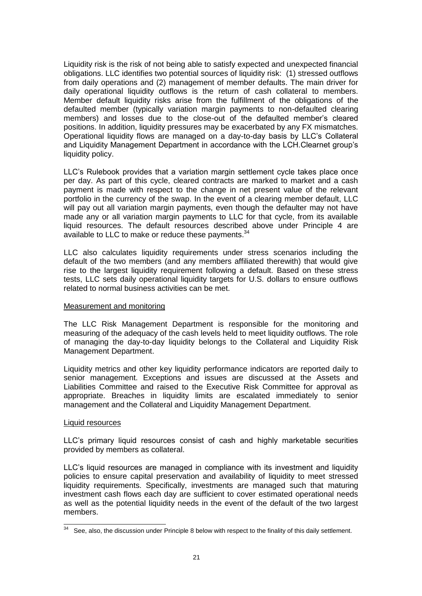Liquidity risk is the risk of not being able to satisfy expected and unexpected financial obligations. LLC identifies two potential sources of liquidity risk: (1) stressed outflows from daily operations and (2) management of member defaults. The main driver for daily operational liquidity outflows is the return of cash collateral to members. Member default liquidity risks arise from the fulfillment of the obligations of the defaulted member (typically variation margin payments to non-defaulted clearing members) and losses due to the close-out of the defaulted member's cleared positions. In addition, liquidity pressures may be exacerbated by any FX mismatches. Operational liquidity flows are managed on a day-to-day basis by LLC's Collateral and Liquidity Management Department in accordance with the LCH.Clearnet group's liquidity policy.

LLC's Rulebook provides that a variation margin settlement cycle takes place once per day. As part of this cycle, cleared contracts are marked to market and a cash payment is made with respect to the change in net present value of the relevant portfolio in the currency of the swap. In the event of a clearing member default, LLC will pay out all variation margin payments, even though the defaulter may not have made any or all variation margin payments to LLC for that cycle, from its available liquid resources. The default resources described above under Principle 4 are available to LLC to make or reduce these payments.<sup>34</sup>

LLC also calculates liquidity requirements under stress scenarios including the default of the two members (and any members affiliated therewith) that would give rise to the largest liquidity requirement following a default. Based on these stress tests, LLC sets daily operational liquidity targets for U.S. dollars to ensure outflows related to normal business activities can be met.

#### Measurement and monitoring

The LLC Risk Management Department is responsible for the monitoring and measuring of the adequacy of the cash levels held to meet liquidity outflows. The role of managing the day-to-day liquidity belongs to the Collateral and Liquidity Risk Management Department.

Liquidity metrics and other key liquidity performance indicators are reported daily to senior management. Exceptions and issues are discussed at the Assets and Liabilities Committee and raised to the Executive Risk Committee for approval as appropriate. Breaches in liquidity limits are escalated immediately to senior management and the Collateral and Liquidity Management Department.

#### Liquid resources

LLC's primary liquid resources consist of cash and highly marketable securities provided by members as collateral.

LLC's liquid resources are managed in compliance with its investment and liquidity policies to ensure capital preservation and availability of liquidity to meet stressed liquidity requirements. Specifically, investments are managed such that maturing investment cash flows each day are sufficient to cover estimated operational needs as well as the potential liquidity needs in the event of the default of the two largest members.

l  $34$  See, also, the discussion under Principle 8 below with respect to the finality of this daily settlement.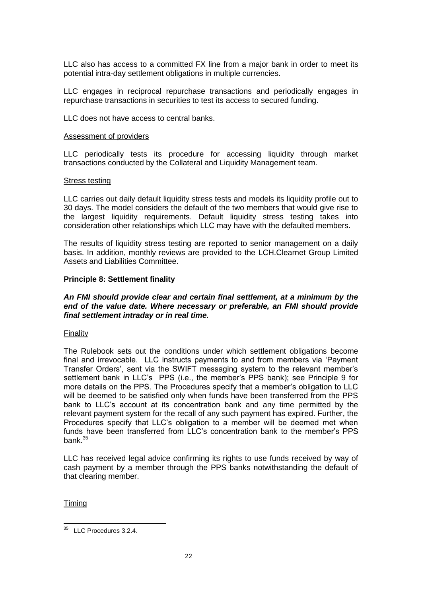LLC also has access to a committed FX line from a major bank in order to meet its potential intra-day settlement obligations in multiple currencies.

LLC engages in reciprocal repurchase transactions and periodically engages in repurchase transactions in securities to test its access to secured funding.

LLC does not have access to central banks.

#### Assessment of providers

LLC periodically tests its procedure for accessing liquidity through market transactions conducted by the Collateral and Liquidity Management team.

#### Stress testing

LLC carries out daily default liquidity stress tests and models its liquidity profile out to 30 days. The model considers the default of the two members that would give rise to the largest liquidity requirements. Default liquidity stress testing takes into consideration other relationships which LLC may have with the defaulted members.

The results of liquidity stress testing are reported to senior management on a daily basis. In addition, monthly reviews are provided to the LCH.Clearnet Group Limited Assets and Liabilities Committee.

#### **Principle 8: Settlement finality**

#### *An FMI should provide clear and certain final settlement, at a minimum by the end of the value date. Where necessary or preferable, an FMI should provide final settlement intraday or in real time.*

#### Finality

The Rulebook sets out the conditions under which settlement obligations become final and irrevocable. LLC instructs payments to and from members via 'Payment Transfer Orders', sent via the SWIFT messaging system to the relevant member's settlement bank in LLC's PPS (i.e., the member's PPS bank); see Principle 9 for more details on the PPS. The Procedures specify that a member's obligation to LLC will be deemed to be satisfied only when funds have been transferred from the PPS bank to LLC's account at its concentration bank and any time permitted by the relevant payment system for the recall of any such payment has expired. Further, the Procedures specify that LLC's obligation to a member will be deemed met when funds have been transferred from LLC's concentration bank to the member's PPS bank.<sup>35</sup>

LLC has received legal advice confirming its rights to use funds received by way of cash payment by a member through the PPS banks notwithstanding the default of that clearing member.

Timing

 $\overline{a}$  $35$  LLC Procedures 3.2.4.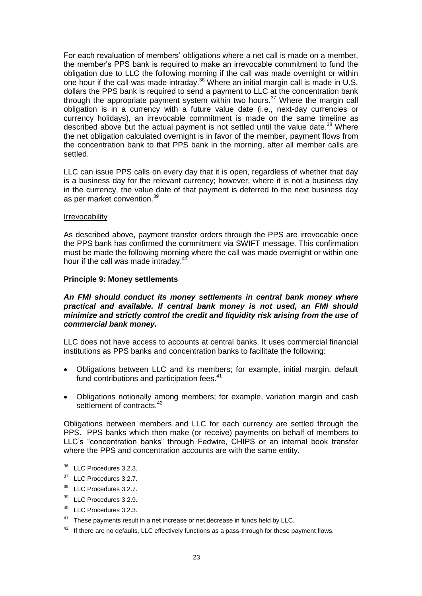For each revaluation of members' obligations where a net call is made on a member, the member's PPS bank is required to make an irrevocable commitment to fund the obligation due to LLC the following morning if the call was made overnight or within one hour if the call was made intraday.<sup>36</sup> Where an initial margin call is made in U.S. dollars the PPS bank is required to send a payment to LLC at the concentration bank through the appropriate payment system within two hours.<sup>37</sup> Where the margin call obligation is in a currency with a future value date (i.e., next-day currencies or currency holidays), an irrevocable commitment is made on the same timeline as described above but the actual payment is not settled until the value date.<sup>38</sup> Where the net obligation calculated overnight is in favor of the member, payment flows from the concentration bank to that PPS bank in the morning, after all member calls are settled.

LLC can issue PPS calls on every day that it is open, regardless of whether that day is a business day for the relevant currency; however, where it is not a business day in the currency, the value date of that payment is deferred to the next business day as per market convention.<sup>39</sup>

#### Irrevocability

As described above, payment transfer orders through the PPS are irrevocable once the PPS bank has confirmed the commitment via SWIFT message. This confirmation must be made the following morning where the call was made overnight or within one hour if the call was made intraday.<sup>40</sup>

#### **Principle 9: Money settlements**

### *An FMI should conduct its money settlements in central bank money where practical and available. If central bank money is not used, an FMI should minimize and strictly control the credit and liquidity risk arising from the use of commercial bank money.*

LLC does not have access to accounts at central banks. It uses commercial financial institutions as PPS banks and concentration banks to facilitate the following:

- Obligations between LLC and its members; for example, initial margin, default fund contributions and participation fees.<sup>41</sup>
- Obligations notionally among members; for example, variation margin and cash settlement of contracts.<sup>42</sup>

Obligations between members and LLC for each currency are settled through the PPS. PPS banks which then make (or receive) payments on behalf of members to LLC's "concentration banks" through Fedwire, CHIPS or an internal book transfer where the PPS and concentration accounts are with the same entity.

l

<sup>40</sup> LLC Procedures 3.2.3.

 $36$  LLC Procedures 3.2.3.

<sup>&</sup>lt;sup>37</sup> LLC Procedures 3.2.7.

<sup>38</sup> LLC Procedures 3.2.7.

<sup>&</sup>lt;sup>39</sup> LLC Procedures 3.2.9.

<sup>&</sup>lt;sup>41</sup> These payments result in a net increase or net decrease in funds held by LLC.

 $42$  If there are no defaults, LLC effectively functions as a pass-through for these payment flows.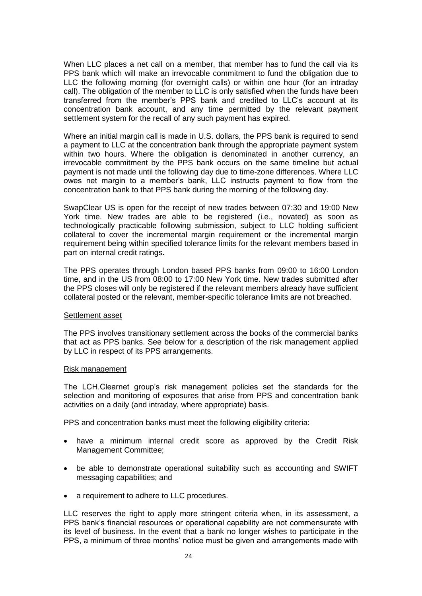When LLC places a net call on a member, that member has to fund the call via its PPS bank which will make an irrevocable commitment to fund the obligation due to LLC the following morning (for overnight calls) or within one hour (for an intraday call). The obligation of the member to LLC is only satisfied when the funds have been transferred from the member's PPS bank and credited to LLC's account at its concentration bank account, and any time permitted by the relevant payment settlement system for the recall of any such payment has expired.

Where an initial margin call is made in U.S. dollars, the PPS bank is required to send a payment to LLC at the concentration bank through the appropriate payment system within two hours. Where the obligation is denominated in another currency, an irrevocable commitment by the PPS bank occurs on the same timeline but actual payment is not made until the following day due to time-zone differences. Where LLC owes net margin to a member's bank, LLC instructs payment to flow from the concentration bank to that PPS bank during the morning of the following day.

SwapClear US is open for the receipt of new trades between 07:30 and 19:00 New York time. New trades are able to be registered (i.e., novated) as soon as technologically practicable following submission, subject to LLC holding sufficient collateral to cover the incremental margin requirement or the incremental margin requirement being within specified tolerance limits for the relevant members based in part on internal credit ratings.

The PPS operates through London based PPS banks from 09:00 to 16:00 London time, and in the US from 08:00 to 17:00 New York time. New trades submitted after the PPS closes will only be registered if the relevant members already have sufficient collateral posted or the relevant, member-specific tolerance limits are not breached.

#### Settlement asset

The PPS involves transitionary settlement across the books of the commercial banks that act as PPS banks. See below for a description of the risk management applied by LLC in respect of its PPS arrangements.

#### Risk management

The LCH.Clearnet group's risk management policies set the standards for the selection and monitoring of exposures that arise from PPS and concentration bank activities on a daily (and intraday, where appropriate) basis.

PPS and concentration banks must meet the following eligibility criteria:

- have a minimum internal credit score as approved by the Credit Risk Management Committee;
- be able to demonstrate operational suitability such as accounting and SWIFT messaging capabilities; and
- a requirement to adhere to LLC procedures.

LLC reserves the right to apply more stringent criteria when, in its assessment, a PPS bank's financial resources or operational capability are not commensurate with its level of business. In the event that a bank no longer wishes to participate in the PPS, a minimum of three months' notice must be given and arrangements made with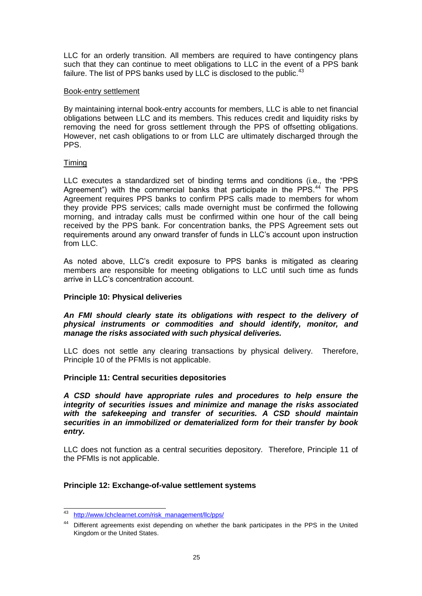LLC for an orderly transition. All members are required to have contingency plans such that they can continue to meet obligations to LLC in the event of a PPS bank failure. The list of PPS banks used by LLC is disclosed to the public.  $43$ 

### Book-entry settlement

By maintaining internal book-entry accounts for members, LLC is able to net financial obligations between LLC and its members. This reduces credit and liquidity risks by removing the need for gross settlement through the PPS of offsetting obligations. However, net cash obligations to or from LLC are ultimately discharged through the PPS.

### Timing

LLC executes a standardized set of binding terms and conditions (i.e., the "PPS Agreement") with the commercial banks that participate in the PPS.<sup>44</sup> The PPS Agreement requires PPS banks to confirm PPS calls made to members for whom they provide PPS services; calls made overnight must be confirmed the following morning, and intraday calls must be confirmed within one hour of the call being received by the PPS bank. For concentration banks, the PPS Agreement sets out requirements around any onward transfer of funds in LLC's account upon instruction from LLC.

As noted above, LLC's credit exposure to PPS banks is mitigated as clearing members are responsible for meeting obligations to LLC until such time as funds arrive in LLC's concentration account.

## **Principle 10: Physical deliveries**

## *An FMI should clearly state its obligations with respect to the delivery of physical instruments or commodities and should identify, monitor, and manage the risks associated with such physical deliveries.*

LLC does not settle any clearing transactions by physical delivery. Therefore, Principle 10 of the PFMIs is not applicable.

#### **Principle 11: Central securities depositories**

*A CSD should have appropriate rules and procedures to help ensure the integrity of securities issues and minimize and manage the risks associated with the safekeeping and transfer of securities. A CSD should maintain securities in an immobilized or dematerialized form for their transfer by book entry.* 

LLC does not function as a central securities depository. Therefore, Principle 11 of the PFMIs is not applicable.

# **Principle 12: Exchange-of-value settlement systems**

 $\overline{\phantom{a}}$ [http://www.lchclearnet.com/risk\\_management/llc/pps/](http://www.lchclearnet.com/risk_management/llc/pps/)

<sup>&</sup>lt;sup>44</sup> Different agreements exist depending on whether the bank participates in the PPS in the United Kingdom or the United States.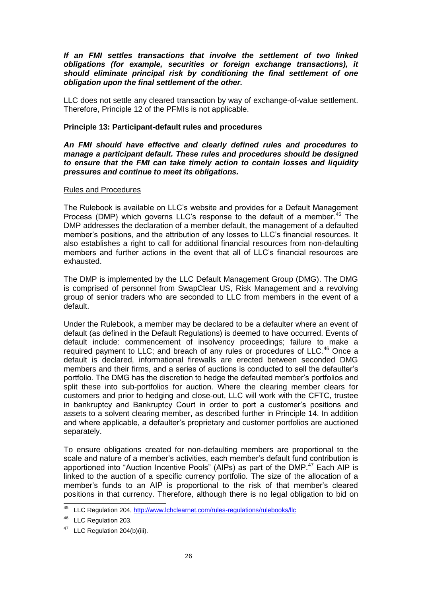*If an FMI settles transactions that involve the settlement of two linked obligations (for example, securities or foreign exchange transactions), it should eliminate principal risk by conditioning the final settlement of one obligation upon the final settlement of the other.* 

LLC does not settle any cleared transaction by way of exchange-of-value settlement. Therefore, Principle 12 of the PFMIs is not applicable.

### **Principle 13: Participant-default rules and procedures**

*An FMI should have effective and clearly defined rules and procedures to manage a participant default. These rules and procedures should be designed to ensure that the FMI can take timely action to contain losses and liquidity pressures and continue to meet its obligations.* 

### Rules and Procedures

The Rulebook is available on LLC's website and provides for a Default Management Process (DMP) which governs LLC's response to the default of a member.<sup>45</sup> The DMP addresses the declaration of a member default, the management of a defaulted member's positions, and the attribution of any losses to LLC's financial resources. It also establishes a right to call for additional financial resources from non-defaulting members and further actions in the event that all of LLC's financial resources are exhausted.

The DMP is implemented by the LLC Default Management Group (DMG). The DMG is comprised of personnel from SwapClear US, Risk Management and a revolving group of senior traders who are seconded to LLC from members in the event of a default.

Under the Rulebook, a member may be declared to be a defaulter where an event of default (as defined in the Default Regulations) is deemed to have occurred. Events of default include: commencement of insolvency proceedings; failure to make a required payment to LLC; and breach of any rules or procedures of LLC.<sup>46</sup> Once a default is declared, informational firewalls are erected between seconded DMG members and their firms, and a series of auctions is conducted to sell the defaulter's portfolio. The DMG has the discretion to hedge the defaulted member's portfolios and split these into sub-portfolios for auction. Where the clearing member clears for customers and prior to hedging and close-out, LLC will work with the CFTC, trustee in bankruptcy and Bankruptcy Court in order to port a customer's positions and assets to a solvent clearing member, as described further in Principle 14. In addition and where applicable, a defaulter's proprietary and customer portfolios are auctioned separately.

To ensure obligations created for non-defaulting members are proportional to the scale and nature of a member's activities, each member's default fund contribution is apportioned into "Auction Incentive Pools" (AIPs) as part of the DMP.<sup>47</sup> Each AIP is linked to the auction of a specific currency portfolio. The size of the allocation of a member's funds to an AIP is proportional to the risk of that member's cleared positions in that currency. Therefore, although there is no legal obligation to bid on

 $\overline{a}$ <sup>45</sup> LLC Regulation 204[, http://www.lchclearnet.com/rules-regulations/rulebooks/llc](http://www.lchclearnet.com/rules-regulations/rulebooks/llc)

<sup>&</sup>lt;sup>46</sup> LLC Regulation 203.

<sup>&</sup>lt;sup>47</sup> LLC Regulation 204(b)(iii).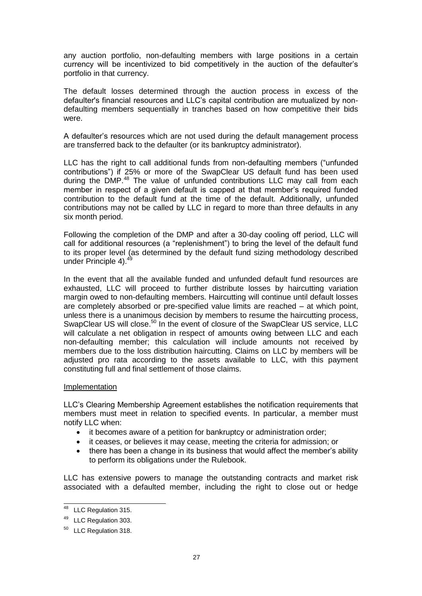any auction portfolio, non-defaulting members with large positions in a certain currency will be incentivized to bid competitively in the auction of the defaulter's portfolio in that currency.

The default losses determined through the auction process in excess of the defaulter's financial resources and LLC's capital contribution are mutualized by nondefaulting members sequentially in tranches based on how competitive their bids were.

A defaulter's resources which are not used during the default management process are transferred back to the defaulter (or its bankruptcy administrator).

LLC has the right to call additional funds from non-defaulting members ("unfunded contributions") if 25% or more of the SwapClear US default fund has been used during the DMP.<sup>48</sup> The value of unfunded contributions LLC may call from each member in respect of a given default is capped at that member's required funded contribution to the default fund at the time of the default. Additionally, unfunded contributions may not be called by LLC in regard to more than three defaults in any six month period.

Following the completion of the DMP and after a 30-day cooling off period, LLC will call for additional resources (a "replenishment") to bring the level of the default fund to its proper level (as determined by the default fund sizing methodology described under Principle 4).<sup>49</sup>

In the event that all the available funded and unfunded default fund resources are exhausted, LLC will proceed to further distribute losses by haircutting variation margin owed to non-defaulting members. Haircutting will continue until default losses are completely absorbed or pre-specified value limits are reached – at which point, unless there is a unanimous decision by members to resume the haircutting process, SwapClear US will close.<sup>50</sup> In the event of closure of the SwapClear US service, LLC will calculate a net obligation in respect of amounts owing between LLC and each non-defaulting member; this calculation will include amounts not received by members due to the loss distribution haircutting. Claims on LLC by members will be adjusted pro rata according to the assets available to LLC, with this payment constituting full and final settlement of those claims.

#### Implementation

LLC's Clearing Membership Agreement establishes the notification requirements that members must meet in relation to specified events. In particular, a member must notify LLC when:

- it becomes aware of a petition for bankruptcy or administration order;
- it ceases, or believes it may cease, meeting the criteria for admission; or
- there has been a change in its business that would affect the member's ability to perform its obligations under the Rulebook.

LLC has extensive powers to manage the outstanding contracts and market risk associated with a defaulted member, including the right to close out or hedge

 $\overline{a}$ 

<sup>&</sup>lt;sup>48</sup> LLC Regulation 315.

<sup>49</sup> LLC Regulation 303.

<sup>&</sup>lt;sup>50</sup> LLC Regulation 318.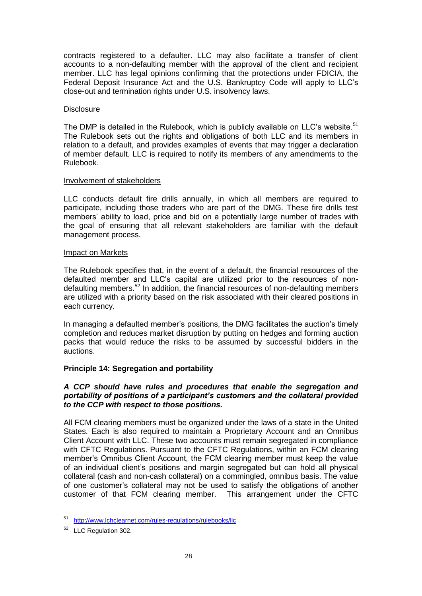contracts registered to a defaulter. LLC may also facilitate a transfer of client accounts to a non-defaulting member with the approval of the client and recipient member. LLC has legal opinions confirming that the protections under FDICIA, the Federal Deposit Insurance Act and the U.S. Bankruptcy Code will apply to LLC's close-out and termination rights under U.S. insolvency laws.

### **Disclosure**

The DMP is detailed in the Rulebook, which is publicly available on LLC's website. $51$ The Rulebook sets out the rights and obligations of both LLC and its members in relation to a default, and provides examples of events that may trigger a declaration of member default. LLC is required to notify its members of any amendments to the Rulebook.

### Involvement of stakeholders

LLC conducts default fire drills annually, in which all members are required to participate, including those traders who are part of the DMG. These fire drills test members' ability to load, price and bid on a potentially large number of trades with the goal of ensuring that all relevant stakeholders are familiar with the default management process.

### Impact on Markets

The Rulebook specifies that, in the event of a default, the financial resources of the defaulted member and LLC's capital are utilized prior to the resources of nondefaulting members.<sup>52</sup> In addition, the financial resources of non-defaulting members are utilized with a priority based on the risk associated with their cleared positions in each currency.

In managing a defaulted member's positions, the DMG facilitates the auction's timely completion and reduces market disruption by putting on hedges and forming auction packs that would reduce the risks to be assumed by successful bidders in the auctions.

# **Principle 14: Segregation and portability**

# *A CCP should have rules and procedures that enable the segregation and portability of positions of a participant's customers and the collateral provided to the CCP with respect to those positions.*

All FCM clearing members must be organized under the laws of a state in the United States. Each is also required to maintain a Proprietary Account and an Omnibus Client Account with LLC. These two accounts must remain segregated in compliance with CFTC Regulations. Pursuant to the CFTC Regulations, within an FCM clearing member's Omnibus Client Account, the FCM clearing member must keep the value of an individual client's positions and margin segregated but can hold all physical collateral (cash and non-cash collateral) on a commingled, omnibus basis. The value of one customer's collateral may not be used to satisfy the obligations of another customer of that FCM clearing member. This arrangement under the CFTC

 $\overline{a}$ <sup>51</sup> <http://www.lchclearnet.com/rules-regulations/rulebooks/llc>

<sup>52</sup> LLC Regulation 302.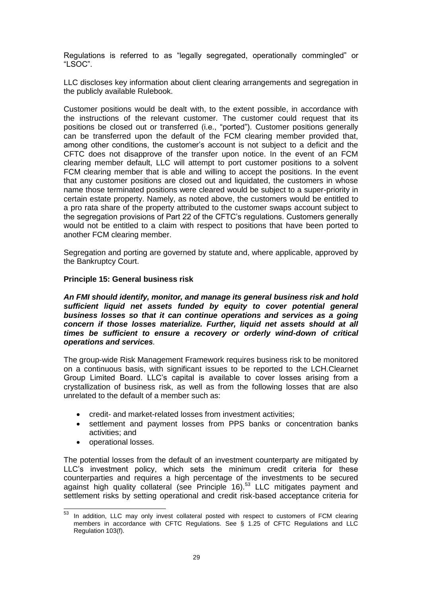Regulations is referred to as "legally segregated, operationally commingled" or "LSOC".

LLC discloses key information about client clearing arrangements and segregation in the publicly available Rulebook.

Customer positions would be dealt with, to the extent possible, in accordance with the instructions of the relevant customer. The customer could request that its positions be closed out or transferred (i.e., "ported"). Customer positions generally can be transferred upon the default of the FCM clearing member provided that, among other conditions, the customer's account is not subject to a deficit and the CFTC does not disapprove of the transfer upon notice. In the event of an FCM clearing member default, LLC will attempt to port customer positions to a solvent FCM clearing member that is able and willing to accept the positions. In the event that any customer positions are closed out and liquidated, the customers in whose name those terminated positions were cleared would be subject to a super-priority in certain estate property. Namely, as noted above, the customers would be entitled to a pro rata share of the property attributed to the customer swaps account subject to the segregation provisions of Part 22 of the CFTC's regulations. Customers generally would not be entitled to a claim with respect to positions that have been ported to another FCM clearing member.

Segregation and porting are governed by statute and, where applicable, approved by the Bankruptcy Court.

#### **Principle 15: General business risk**

*An FMI should identify, monitor, and manage its general business risk and hold sufficient liquid net assets funded by equity to cover potential general business losses so that it can continue operations and services as a going concern if those losses materialize. Further, liquid net assets should at all times be sufficient to ensure a recovery or orderly wind-down of critical operations and services.* 

The group-wide Risk Management Framework requires business risk to be monitored on a continuous basis, with significant issues to be reported to the LCH.Clearnet Group Limited Board. LLC's capital is available to cover losses arising from a crystallization of business risk, as well as from the following losses that are also unrelated to the default of a member such as:

- credit- and market-related losses from investment activities;
- settlement and payment losses from PPS banks or concentration banks activities; and
- operational losses.

The potential losses from the default of an investment counterparty are mitigated by LLC's investment policy, which sets the minimum credit criteria for these counterparties and requires a high percentage of the investments to be secured against high quality collateral (see Principle 16).<sup>53</sup> LLC mitigates payment and settlement risks by setting operational and credit risk-based acceptance criteria for

<sup>53</sup> In addition, LLC may only invest collateral posted with respect to customers of FCM clearing members in accordance with CFTC Regulations. See § 1.25 of CFTC Regulations and LLC Regulation 103(f).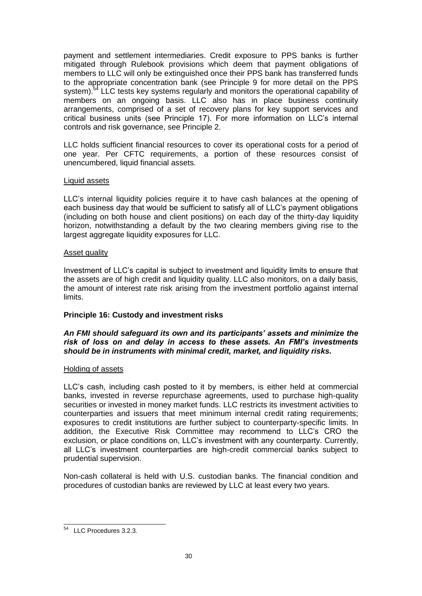payment and settlement intermediaries. Credit exposure to PPS banks is further mitigated through Rulebook provisions which deem that payment obligations of members to LLC will only be extinguished once their PPS bank has transferred funds to the appropriate concentration bank (see Principle 9 for more detail on the PPS system).<sup>54</sup> LLC tests key systems regularly and monitors the operational capability of members on an ongoing basis. LLC also has in place business continuity arrangements, comprised of a set of recovery plans for key support services and critical business units (see Principle 17). For more information on LLC's internal controls and risk governance, see Principle 2.

LLC holds sufficient financial resources to cover its operational costs for a period of one year. Per CFTC requirements, a portion of these resources consist of unencumbered, liquid financial assets.

### Liquid assets

LLC's internal liquidity policies require it to have cash balances at the opening of each business day that would be sufficient to satisfy all of LLC's payment obligations (including on both house and client positions) on each day of the thirty-day liquidity horizon, notwithstanding a default by the two clearing members giving rise to the largest aggregate liquidity exposures for LLC.

### Asset quality

Investment of LLC's capital is subject to investment and liquidity limits to ensure that the assets are of high credit and liquidity quality. LLC also monitors, on a daily basis, the amount of interest rate risk arising from the investment portfolio against internal limits.

# **Principle 16: Custody and investment risks**

### *An FMI should safeguard its own and its participants' assets and minimize the risk of loss on and delay in access to these assets. An FMI's investments should be in instruments with minimal credit, market, and liquidity risks.*

# Holding of assets

LLC's cash, including cash posted to it by members, is either held at commercial banks, invested in reverse repurchase agreements, used to purchase high-quality securities or invested in money market funds. LLC restricts its investment activities to counterparties and issuers that meet minimum internal credit rating requirements; exposures to credit institutions are further subject to counterparty-specific limits. In addition, the Executive Risk Committee may recommend to LLC's CRO the exclusion, or place conditions on, LLC's investment with any counterparty. Currently, all LLC's investment counterparties are high-credit commercial banks subject to prudential supervision.

Non-cash collateral is held with U.S. custodian banks. The financial condition and procedures of custodian banks are reviewed by LLC at least every two years.

 $\overline{\phantom{a}}$ <sup>54</sup> LLC Procedures 3.2.3.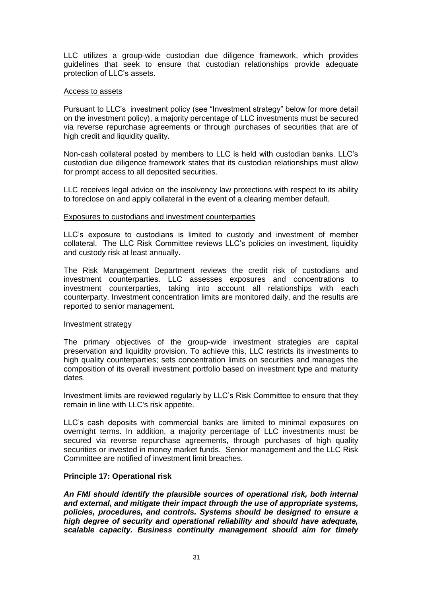LLC utilizes a group-wide custodian due diligence framework, which provides guidelines that seek to ensure that custodian relationships provide adequate protection of LLC's assets.

#### Access to assets

Pursuant to LLC's investment policy (see "Investment strategy" below for more detail on the investment policy), a majority percentage of LLC investments must be secured via reverse repurchase agreements or through purchases of securities that are of high credit and liquidity quality.

Non-cash collateral posted by members to LLC is held with custodian banks. LLC's custodian due diligence framework states that its custodian relationships must allow for prompt access to all deposited securities.

LLC receives legal advice on the insolvency law protections with respect to its ability to foreclose on and apply collateral in the event of a clearing member default.

#### Exposures to custodians and investment counterparties

LLC's exposure to custodians is limited to custody and investment of member collateral. The LLC Risk Committee reviews LLC's policies on investment, liquidity and custody risk at least annually.

The Risk Management Department reviews the credit risk of custodians and investment counterparties. LLC assesses exposures and concentrations to investment counterparties, taking into account all relationships with each counterparty. Investment concentration limits are monitored daily, and the results are reported to senior management.

#### Investment strategy

The primary objectives of the group-wide investment strategies are capital preservation and liquidity provision. To achieve this, LLC restricts its investments to high quality counterparties; sets concentration limits on securities and manages the composition of its overall investment portfolio based on investment type and maturity dates.

Investment limits are reviewed regularly by LLC's Risk Committee to ensure that they remain in line with LLC's risk appetite.

LLC's cash deposits with commercial banks are limited to minimal exposures on overnight terms. In addition, a majority percentage of LLC investments must be secured via reverse repurchase agreements, through purchases of high quality securities or invested in money market funds. Senior management and the LLC Risk Committee are notified of investment limit breaches.

#### **Principle 17: Operational risk**

*An FMI should identify the plausible sources of operational risk, both internal and external, and mitigate their impact through the use of appropriate systems, policies, procedures, and controls. Systems should be designed to ensure a high degree of security and operational reliability and should have adequate, scalable capacity. Business continuity management should aim for timely*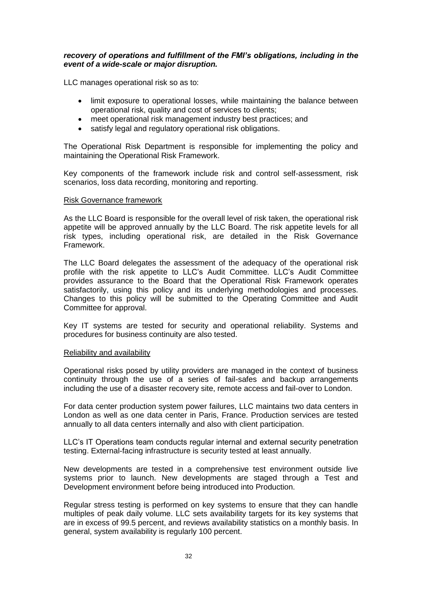### *recovery of operations and fulfillment of the FMI's obligations, including in the event of a wide-scale or major disruption.*

LLC manages operational risk so as to:

- limit exposure to operational losses, while maintaining the balance between operational risk, quality and cost of services to clients;
- meet operational risk management industry best practices; and
- satisfy legal and regulatory operational risk obligations.

The Operational Risk Department is responsible for implementing the policy and maintaining the Operational Risk Framework.

Key components of the framework include risk and control self-assessment, risk scenarios, loss data recording, monitoring and reporting.

#### Risk Governance framework

As the LLC Board is responsible for the overall level of risk taken, the operational risk appetite will be approved annually by the LLC Board. The risk appetite levels for all risk types, including operational risk, are detailed in the Risk Governance Framework.

The LLC Board delegates the assessment of the adequacy of the operational risk profile with the risk appetite to LLC's Audit Committee. LLC's Audit Committee provides assurance to the Board that the Operational Risk Framework operates satisfactorily, using this policy and its underlying methodologies and processes. Changes to this policy will be submitted to the Operating Committee and Audit Committee for approval.

Key IT systems are tested for security and operational reliability. Systems and procedures for business continuity are also tested.

#### Reliability and availability

Operational risks posed by utility providers are managed in the context of business continuity through the use of a series of fail-safes and backup arrangements including the use of a disaster recovery site, remote access and fail-over to London.

For data center production system power failures, LLC maintains two data centers in London as well as one data center in Paris, France. Production services are tested annually to all data centers internally and also with client participation.

LLC's IT Operations team conducts regular internal and external security penetration testing. External-facing infrastructure is security tested at least annually.

New developments are tested in a comprehensive test environment outside live systems prior to launch. New developments are staged through a Test and Development environment before being introduced into Production.

Regular stress testing is performed on key systems to ensure that they can handle multiples of peak daily volume. LLC sets availability targets for its key systems that are in excess of 99.5 percent, and reviews availability statistics on a monthly basis. In general, system availability is regularly 100 percent.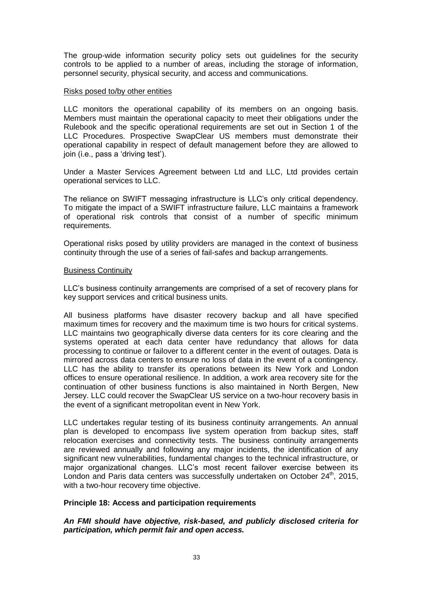The group-wide information security policy sets out guidelines for the security controls to be applied to a number of areas, including the storage of information, personnel security, physical security, and access and communications.

### Risks posed to/by other entities

LLC monitors the operational capability of its members on an ongoing basis. Members must maintain the operational capacity to meet their obligations under the Rulebook and the specific operational requirements are set out in Section 1 of the LLC Procedures. Prospective SwapClear US members must demonstrate their operational capability in respect of default management before they are allowed to join (i.e., pass a 'driving test').

Under a Master Services Agreement between Ltd and LLC, Ltd provides certain operational services to LLC.

The reliance on SWIFT messaging infrastructure is LLC's only critical dependency. To mitigate the impact of a SWIFT infrastructure failure, LLC maintains a framework of operational risk controls that consist of a number of specific minimum requirements.

Operational risks posed by utility providers are managed in the context of business continuity through the use of a series of fail-safes and backup arrangements.

### Business Continuity

LLC's business continuity arrangements are comprised of a set of recovery plans for key support services and critical business units.

All business platforms have disaster recovery backup and all have specified maximum times for recovery and the maximum time is two hours for critical systems. LLC maintains two geographically diverse data centers for its core clearing and the systems operated at each data center have redundancy that allows for data processing to continue or failover to a different center in the event of outages. Data is mirrored across data centers to ensure no loss of data in the event of a contingency. LLC has the ability to transfer its operations between its New York and London offices to ensure operational resilience. In addition, a work area recovery site for the continuation of other business functions is also maintained in North Bergen, New Jersey. LLC could recover the SwapClear US service on a two-hour recovery basis in the event of a significant metropolitan event in New York.

LLC undertakes regular testing of its business continuity arrangements. An annual plan is developed to encompass live system operation from backup sites, staff relocation exercises and connectivity tests. The business continuity arrangements are reviewed annually and following any major incidents, the identification of any significant new vulnerabilities, fundamental changes to the technical infrastructure, or major organizational changes. LLC's most recent failover exercise between its London and Paris data centers was successfully undertaken on October 24<sup>th</sup>, 2015, with a two-hour recovery time objective.

# **Principle 18: Access and participation requirements**

# *An FMI should have objective, risk-based, and publicly disclosed criteria for participation, which permit fair and open access.*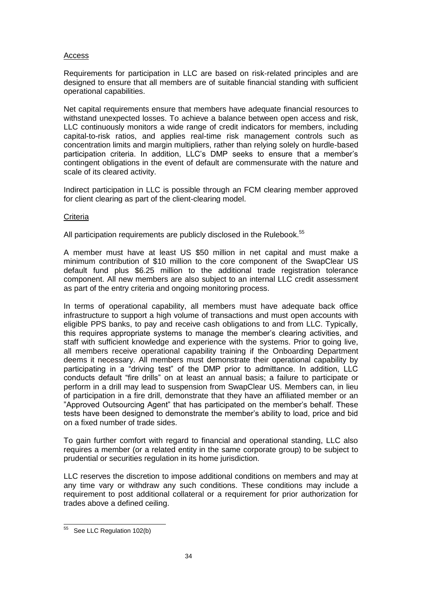## Access

Requirements for participation in LLC are based on risk-related principles and are designed to ensure that all members are of suitable financial standing with sufficient operational capabilities.

Net capital requirements ensure that members have adequate financial resources to withstand unexpected losses. To achieve a balance between open access and risk, LLC continuously monitors a wide range of credit indicators for members, including capital-to-risk ratios, and applies real-time risk management controls such as concentration limits and margin multipliers, rather than relying solely on hurdle-based participation criteria. In addition, LLC's DMP seeks to ensure that a member's contingent obligations in the event of default are commensurate with the nature and scale of its cleared activity.

Indirect participation in LLC is possible through an FCM clearing member approved for client clearing as part of the client-clearing model.

### **Criteria**

All participation requirements are publicly disclosed in the Rulebook.<sup>55</sup>

A member must have at least US \$50 million in net capital and must make a minimum contribution of \$10 million to the core component of the SwapClear US default fund plus \$6.25 million to the additional trade registration tolerance component. All new members are also subject to an internal LLC credit assessment as part of the entry criteria and ongoing monitoring process.

In terms of operational capability, all members must have adequate back office infrastructure to support a high volume of transactions and must open accounts with eligible PPS banks, to pay and receive cash obligations to and from LLC. Typically, this requires appropriate systems to manage the member's clearing activities, and staff with sufficient knowledge and experience with the systems. Prior to going live, all members receive operational capability training if the Onboarding Department deems it necessary. All members must demonstrate their operational capability by participating in a "driving test" of the DMP prior to admittance. In addition, LLC conducts default "fire drills" on at least an annual basis; a failure to participate or perform in a drill may lead to suspension from SwapClear US. Members can, in lieu of participation in a fire drill, demonstrate that they have an affiliated member or an "Approved Outsourcing Agent" that has participated on the member's behalf. These tests have been designed to demonstrate the member's ability to load, price and bid on a fixed number of trade sides.

To gain further comfort with regard to financial and operational standing, LLC also requires a member (or a related entity in the same corporate group) to be subject to prudential or securities regulation in its home jurisdiction.

LLC reserves the discretion to impose additional conditions on members and may at any time vary or withdraw any such conditions. These conditions may include a requirement to post additional collateral or a requirement for prior authorization for trades above a defined ceiling.

 $\overline{\phantom{a}}$ 

<sup>&</sup>lt;sup>55</sup> See LLC Regulation 102(b)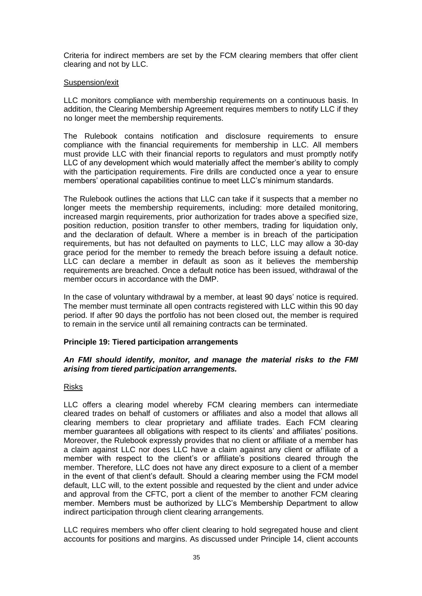Criteria for indirect members are set by the FCM clearing members that offer client clearing and not by LLC.

### Suspension/exit

LLC monitors compliance with membership requirements on a continuous basis. In addition, the Clearing Membership Agreement requires members to notify LLC if they no longer meet the membership requirements.

The Rulebook contains notification and disclosure requirements to ensure compliance with the financial requirements for membership in LLC. All members must provide LLC with their financial reports to regulators and must promptly notify LLC of any development which would materially affect the member's ability to comply with the participation requirements. Fire drills are conducted once a year to ensure members' operational capabilities continue to meet LLC's minimum standards.

The Rulebook outlines the actions that LLC can take if it suspects that a member no longer meets the membership requirements, including: more detailed monitoring, increased margin requirements, prior authorization for trades above a specified size, position reduction, position transfer to other members, trading for liquidation only, and the declaration of default. Where a member is in breach of the participation requirements, but has not defaulted on payments to LLC, LLC may allow a 30-day grace period for the member to remedy the breach before issuing a default notice. LLC can declare a member in default as soon as it believes the membership requirements are breached. Once a default notice has been issued, withdrawal of the member occurs in accordance with the DMP.

In the case of voluntary withdrawal by a member, at least 90 days' notice is required. The member must terminate all open contracts registered with LLC within this 90 day period. If after 90 days the portfolio has not been closed out, the member is required to remain in the service until all remaining contracts can be terminated.

# **Principle 19: Tiered participation arrangements**

### *An FMI should identify, monitor, and manage the material risks to the FMI arising from tiered participation arrangements.*

# Risks

LLC offers a clearing model whereby FCM clearing members can intermediate cleared trades on behalf of customers or affiliates and also a model that allows all clearing members to clear proprietary and affiliate trades. Each FCM clearing member guarantees all obligations with respect to its clients' and affiliates' positions. Moreover, the Rulebook expressly provides that no client or affiliate of a member has a claim against LLC nor does LLC have a claim against any client or affiliate of a member with respect to the client's or affiliate's positions cleared through the member. Therefore, LLC does not have any direct exposure to a client of a member in the event of that client's default. Should a clearing member using the FCM model default, LLC will, to the extent possible and requested by the client and under advice and approval from the CFTC, port a client of the member to another FCM clearing member. Members must be authorized by LLC's Membership Department to allow indirect participation through client clearing arrangements.

LLC requires members who offer client clearing to hold segregated house and client accounts for positions and margins. As discussed under Principle 14, client accounts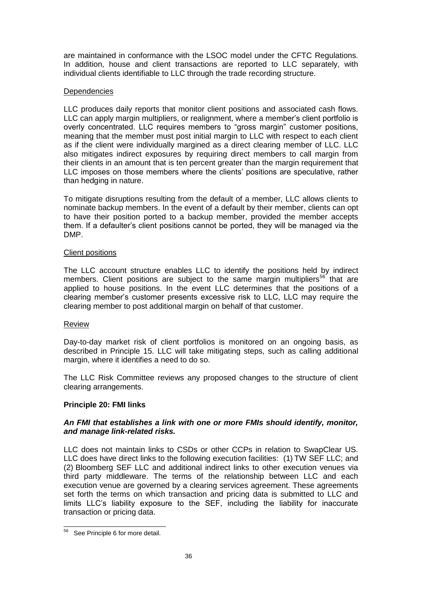are maintained in conformance with the LSOC model under the CFTC Regulations. In addition, house and client transactions are reported to LLC separately, with individual clients identifiable to LLC through the trade recording structure.

# **Dependencies**

LLC produces daily reports that monitor client positions and associated cash flows. LLC can apply margin multipliers, or realignment, where a member's client portfolio is overly concentrated. LLC requires members to "gross margin" customer positions, meaning that the member must post initial margin to LLC with respect to each client as if the client were individually margined as a direct clearing member of LLC. LLC also mitigates indirect exposures by requiring direct members to call margin from their clients in an amount that is ten percent greater than the margin requirement that LLC imposes on those members where the clients' positions are speculative, rather than hedging in nature.

To mitigate disruptions resulting from the default of a member, LLC allows clients to nominate backup members. In the event of a default by their member, clients can opt to have their position ported to a backup member, provided the member accepts them. If a defaulter's client positions cannot be ported, they will be managed via the DMP.

# Client positions

The LLC account structure enables LLC to identify the positions held by indirect members. Client positions are subject to the same margin multipliers<sup>56</sup> that are applied to house positions. In the event LLC determines that the positions of a clearing member's customer presents excessive risk to LLC, LLC may require the clearing member to post additional margin on behalf of that customer.

# Review

Day-to-day market risk of client portfolios is monitored on an ongoing basis, as described in Principle 15. LLC will take mitigating steps, such as calling additional margin, where it identifies a need to do so.

The LLC Risk Committee reviews any proposed changes to the structure of client clearing arrangements.

# **Principle 20: FMI links**

# *An FMI that establishes a link with one or more FMIs should identify, monitor, and manage link-related risks.*

LLC does not maintain links to CSDs or other CCPs in relation to SwapClear US. LLC does have direct links to the following execution facilities: (1) TW SEF LLC; and (2) Bloomberg SEF LLC and additional indirect links to other execution venues via third party middleware. The terms of the relationship between LLC and each execution venue are governed by a clearing services agreement. These agreements set forth the terms on which transaction and pricing data is submitted to LLC and limits LLC's liability exposure to the SEF, including the liability for inaccurate transaction or pricing data.

 $\overline{\phantom{a}}$ <sup>56</sup> See Principle 6 for more detail.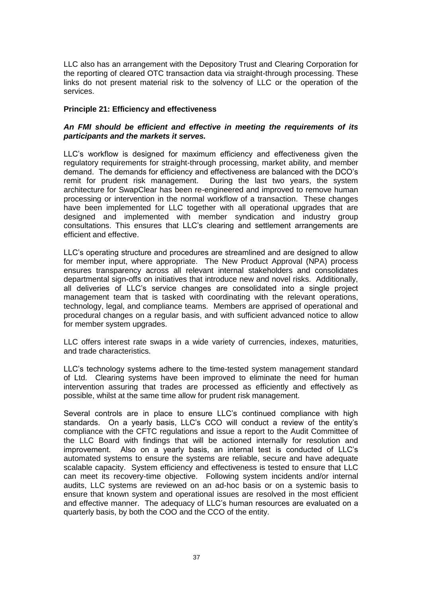LLC also has an arrangement with the Depository Trust and Clearing Corporation for the reporting of cleared OTC transaction data via straight-through processing. These links do not present material risk to the solvency of LLC or the operation of the services.

### **Principle 21: Efficiency and effectiveness**

## *An FMI should be efficient and effective in meeting the requirements of its participants and the markets it serves.*

LLC's workflow is designed for maximum efficiency and effectiveness given the regulatory requirements for straight-through processing, market ability, and member demand. The demands for efficiency and effectiveness are balanced with the DCO's remit for prudent risk management. During the last two years, the system architecture for SwapClear has been re-engineered and improved to remove human processing or intervention in the normal workflow of a transaction. These changes have been implemented for LLC together with all operational upgrades that are designed and implemented with member syndication and industry group consultations. This ensures that LLC's clearing and settlement arrangements are efficient and effective.

LLC's operating structure and procedures are streamlined and are designed to allow for member input, where appropriate. The New Product Approval (NPA) process ensures transparency across all relevant internal stakeholders and consolidates departmental sign-offs on initiatives that introduce new and novel risks. Additionally, all deliveries of LLC's service changes are consolidated into a single project management team that is tasked with coordinating with the relevant operations, technology, legal, and compliance teams. Members are apprised of operational and procedural changes on a regular basis, and with sufficient advanced notice to allow for member system upgrades.

LLC offers interest rate swaps in a wide variety of currencies, indexes, maturities, and trade characteristics.

LLC's technology systems adhere to the time-tested system management standard of Ltd. Clearing systems have been improved to eliminate the need for human intervention assuring that trades are processed as efficiently and effectively as possible, whilst at the same time allow for prudent risk management.

Several controls are in place to ensure LLC's continued compliance with high standards. On a yearly basis, LLC's CCO will conduct a review of the entity's compliance with the CFTC regulations and issue a report to the Audit Committee of the LLC Board with findings that will be actioned internally for resolution and improvement. Also on a yearly basis, an internal test is conducted of LLC's automated systems to ensure the systems are reliable, secure and have adequate scalable capacity. System efficiency and effectiveness is tested to ensure that LLC can meet its recovery-time objective. Following system incidents and/or internal audits, LLC systems are reviewed on an ad-hoc basis or on a systemic basis to ensure that known system and operational issues are resolved in the most efficient and effective manner. The adequacy of LLC's human resources are evaluated on a quarterly basis, by both the COO and the CCO of the entity.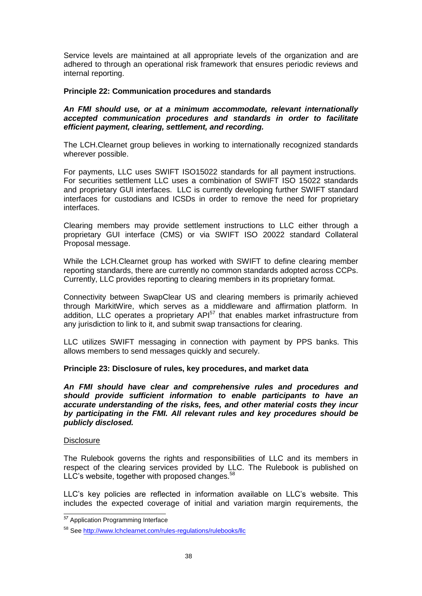Service levels are maintained at all appropriate levels of the organization and are adhered to through an operational risk framework that ensures periodic reviews and internal reporting.

## **Principle 22: Communication procedures and standards**

### *An FMI should use, or at a minimum accommodate, relevant internationally accepted communication procedures and standards in order to facilitate efficient payment, clearing, settlement, and recording.*

The LCH.Clearnet group believes in working to internationally recognized standards wherever possible.

For payments, LLC uses SWIFT ISO15022 standards for all payment instructions. For securities settlement LLC uses a combination of SWIFT ISO 15022 standards and proprietary GUI interfaces. LLC is currently developing further SWIFT standard interfaces for custodians and ICSDs in order to remove the need for proprietary interfaces.

Clearing members may provide settlement instructions to LLC either through a proprietary GUI interface (CMS) or via SWIFT ISO 20022 standard Collateral Proposal message.

While the LCH.Clearnet group has worked with SWIFT to define clearing member reporting standards, there are currently no common standards adopted across CCPs. Currently, LLC provides reporting to clearing members in its proprietary format.

Connectivity between SwapClear US and clearing members is primarily achieved through MarkitWire, which serves as a middleware and affirmation platform. In addition, LLC operates a proprietary  $API<sup>57</sup>$  that enables market infrastructure from any jurisdiction to link to it, and submit swap transactions for clearing.

LLC utilizes SWIFT messaging in connection with payment by PPS banks. This allows members to send messages quickly and securely.

# **Principle 23: Disclosure of rules, key procedures, and market data**

*An FMI should have clear and comprehensive rules and procedures and should provide sufficient information to enable participants to have an accurate understanding of the risks, fees, and other material costs they incur by participating in the FMI. All relevant rules and key procedures should be publicly disclosed.* 

#### **Disclosure**

The Rulebook governs the rights and responsibilities of LLC and its members in respect of the clearing services provided by LLC. The Rulebook is published on LLC's website, together with proposed changes. $58$ 

LLC's key policies are reflected in information available on LLC's website. This includes the expected coverage of initial and variation margin requirements, the

 $\overline{a}$ *<sup>57</sup>* Application Programming Interface

<sup>58</sup> See <http://www.lchclearnet.com/rules-regulations/rulebooks/llc>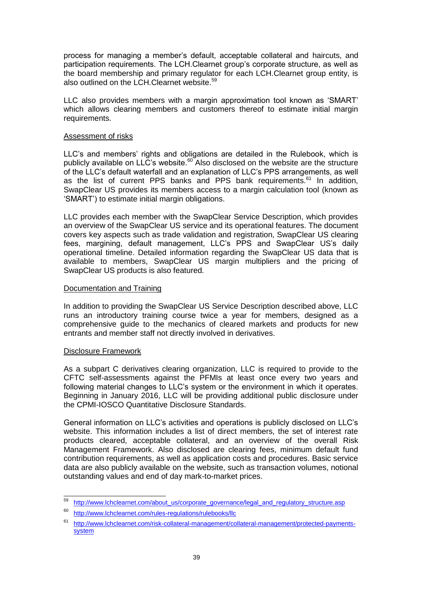process for managing a member's default, acceptable collateral and haircuts, and participation requirements. The LCH.Clearnet group's corporate structure, as well as the board membership and primary regulator for each LCH.Clearnet group entity, is also outlined on the LCH.Clearnet website.<sup>59</sup>

LLC also provides members with a margin approximation tool known as 'SMART' which allows clearing members and customers thereof to estimate initial margin requirements.

## Assessment of risks

LLC's and members' rights and obligations are detailed in the Rulebook, which is publicly available on LLC's website.<sup>60</sup> Also disclosed on the website are the structure of the LLC's default waterfall and an explanation of LLC's PPS arrangements, as well as the list of current PPS banks and PPS bank requirements. $61$  In addition, SwapClear US provides its members access to a margin calculation tool (known as 'SMART') to estimate initial margin obligations.

LLC provides each member with the SwapClear Service Description, which provides an overview of the SwapClear US service and its operational features. The document covers key aspects such as trade validation and registration, SwapClear US clearing fees, margining, default management, LLC's PPS and SwapClear US's daily operational timeline. Detailed information regarding the SwapClear US data that is available to members, SwapClear US margin multipliers and the pricing of SwapClear US products is also featured.

# Documentation and Training

In addition to providing the SwapClear US Service Description described above, LLC runs an introductory training course twice a year for members, designed as a comprehensive guide to the mechanics of cleared markets and products for new entrants and member staff not directly involved in derivatives.

# Disclosure Framework

As a subpart C derivatives clearing organization, LLC is required to provide to the CFTC self-assessments against the PFMIs at least once every two years and following material changes to LLC's system or the environment in which it operates. Beginning in January 2016, LLC will be providing additional public disclosure under the CPMI-IOSCO Quantitative Disclosure Standards.

General information on LLC's activities and operations is publicly disclosed on LLC's website. This information includes a list of direct members, the set of interest rate products cleared, acceptable collateral, and an overview of the overall Risk Management Framework. Also disclosed are clearing fees, minimum default fund contribution requirements, as well as application costs and procedures. Basic service data are also publicly available on the website, such as transaction volumes, notional outstanding values and end of day mark-to-market prices.

 $\overline{59}$ [http://www.lchclearnet.com/about\\_us/corporate\\_governance/legal\\_and\\_regulatory\\_structure.asp](http://www.lchclearnet.com/about_us/corporate_governance/legal_and_regulatory_structure.asp)

<sup>60</sup> <http://www.lchclearnet.com/rules-regulations/rulebooks/llc>

<sup>61</sup> [http://www.lchclearnet.com/risk-collateral-management/collateral-management/protected-payments](http://www.lchclearnet.com/risk-collateral-management/collateral-management/protected-payments-system)[system](http://www.lchclearnet.com/risk-collateral-management/collateral-management/protected-payments-system)